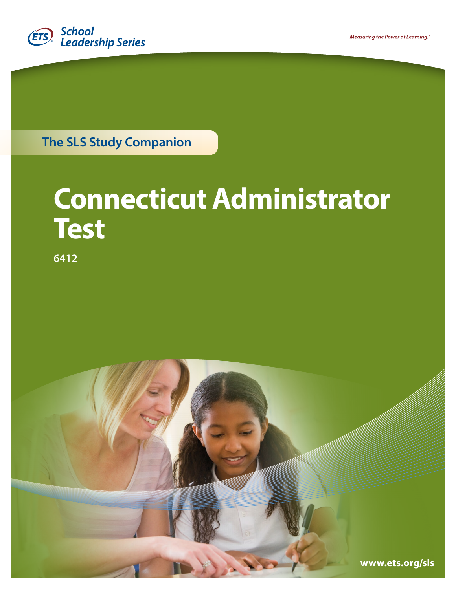

**The SLS Study Companion** 

# **Connecticut Administrator Test**

**6412** 

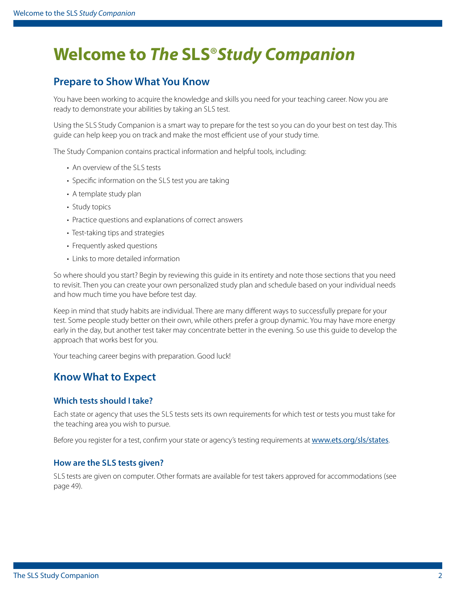## **Welcome to** *The* **SLS**®*Study Companion*

### **Prepare to Show What You Know**

 You have been working to acquire the knowledge and skills you need for your teaching career. Now you are ready to demonstrate your abilities by taking an SLS test.

 Using the SLS Study Companion is a smart way to prepare for the test so you can do your best on test day. This guide can help keep you on track and make the most efficient use of your study time.

The Study Companion contains practical information and helpful tools, including:

- • An overview of the SLS tests
- • Specifc information on the SLS test you are taking
- A template study plan
- Study topics
- Practice questions and explanations of correct answers
- Test-taking tips and strategies
- Frequently asked questions
- Links to more detailed information

So where should you start? Begin by reviewing this guide in its entirety and note those sections that you need to revisit. Then you can create your own personalized study plan and schedule based on your individual needs and how much time you have before test day.

Keep in mind that study habits are individual. There are many diferent ways to successfully prepare for your test. Some people study better on their own, while others prefer a group dynamic. You may have more energy early in the day, but another test taker may concentrate better in the evening. So use this guide to develop the approach that works best for you.

Your teaching career begins with preparation. Good luck!

### **Know What to Expect**

#### **Which tests should I take?**

 Each state or agency that uses the SLS tests sets its own requirements for which test or tests you must take for the teaching area you wish to pursue.

Before you register for a test, confirm your state or agency's testing requirements at [www.ets.org/sls/states](http://www.ets.org/sls/states).

#### **How are the SLS tests given?**

 SLS tests are given on computer. Other formats are available for test takers approved for accommodations (see [page 49\)](#page-48-0).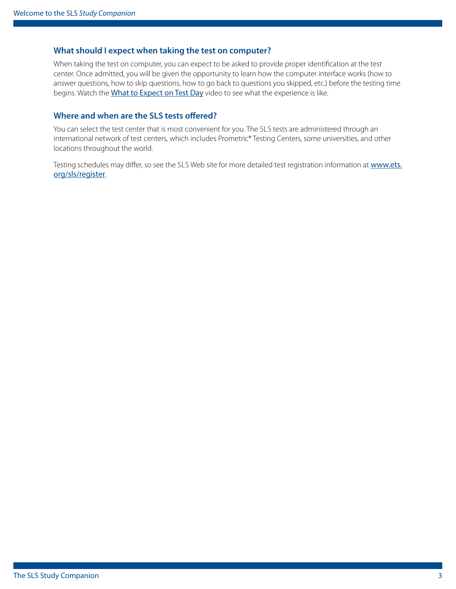#### **What should I expect when taking the test on computer?**

When taking the test on computer, you can expect to be asked to provide proper identifcation at the test center. Once admitted, you will be given the opportunity to learn how the computer interface works (how to answer questions, how to skip questions, how to go back to questions you skipped, etc.) before the testing time begins. Watch the [What to Expect on Test Day](http://www.ets.org/s/praxis/flash/prometric/18204_praxis-prometric-video.html) video to see what the experience is like.

#### **Where and when are the SLS tests ofered?**

 You can select the test center that is most convenient for you. The SLS tests are administered through an international network of test centers, which includes Prometric® Testing Centers, some universities, and other locations throughout the world.

 Testing schedules may differ, so see the SLS Web site for more detailed test registration information at www.ets. [org/sls/register](https://www.ets.org/sls/register/).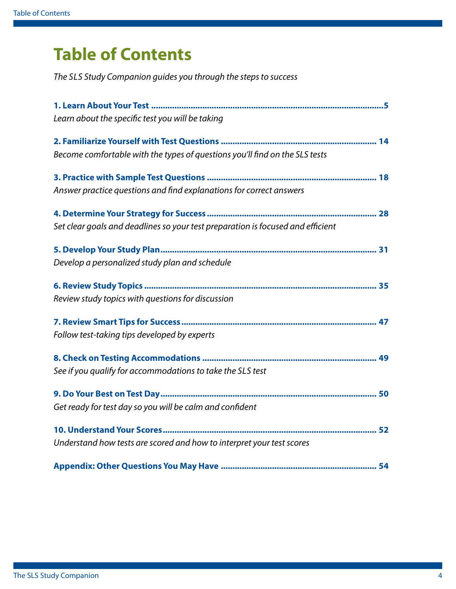## **Table of Contents**

 *The SLS Study Companion guides you through the steps to success* 

| Learn about the specific test you will be taking                                |
|---------------------------------------------------------------------------------|
|                                                                                 |
| Become comfortable with the types of questions you'll find on the SLS tests     |
|                                                                                 |
| Answer practice questions and find explanations for correct answers             |
|                                                                                 |
| Set clear goals and deadlines so your test preparation is focused and efficient |
|                                                                                 |
| Develop a personalized study plan and schedule                                  |
|                                                                                 |
| Review study topics with questions for discussion                               |
|                                                                                 |
| Follow test-taking tips developed by experts                                    |
|                                                                                 |
| See if you qualify for accommodations to take the SLS test                      |
|                                                                                 |
| Get ready for test day so you will be calm and confident                        |
|                                                                                 |
| Understand how tests are scored and how to interpret your test scores           |
|                                                                                 |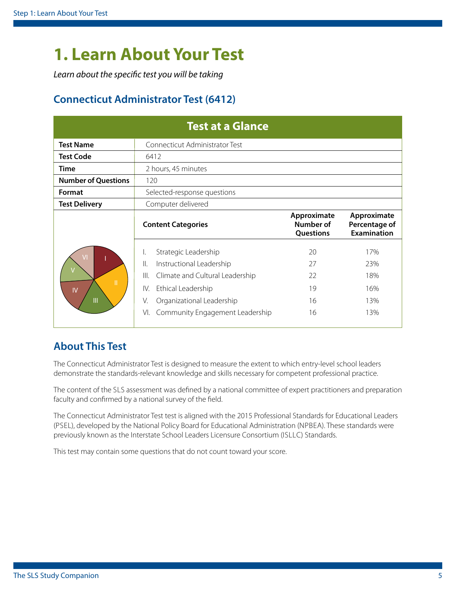## <span id="page-4-1"></span><span id="page-4-0"></span>**1. Learn About Your Test**

*Learn about the specifc test you will be taking* 

### **Connecticut Administrator Test (6412)**

|                                                        | <b>Test at a Glance</b>                                                                                                                                                                                                             |                                              |                                                    |
|--------------------------------------------------------|-------------------------------------------------------------------------------------------------------------------------------------------------------------------------------------------------------------------------------------|----------------------------------------------|----------------------------------------------------|
| <b>Test Name</b>                                       | Connecticut Administrator Test                                                                                                                                                                                                      |                                              |                                                    |
| <b>Test Code</b>                                       | 6412                                                                                                                                                                                                                                |                                              |                                                    |
| <b>Time</b>                                            | 2 hours, 45 minutes                                                                                                                                                                                                                 |                                              |                                                    |
| <b>Number of Questions</b>                             | 120                                                                                                                                                                                                                                 |                                              |                                                    |
| Format                                                 | Selected-response questions                                                                                                                                                                                                         |                                              |                                                    |
| <b>Test Delivery</b>                                   | Computer delivered                                                                                                                                                                                                                  |                                              |                                                    |
|                                                        | <b>Content Categories</b>                                                                                                                                                                                                           | Approximate<br><b>Number of</b><br>Questions | Approximate<br>Percentage of<br><b>Examination</b> |
| $\overline{V}$<br>Ш<br>$\mathsf{IV}$<br>$\mathbf{III}$ | Strategic Leadership<br>I.<br>Instructional Leadership<br>$\parallel$ .<br>$\parallel$<br>Climate and Cultural Leadership<br>Ethical Leadership<br>IV.<br>V.<br>Organizational Leadership<br>Community Engagement Leadership<br>VI. | 20<br>27<br>22<br>19<br>16<br>16             | 17%<br>23%<br>18%<br>16%<br>13%<br>13%             |

### **About This Test**

The Connecticut Administrator Test is designed to measure the extent to which entry-level school leaders demonstrate the standards-relevant knowledge and skills necessary for competent professional practice.

The content of the SLS assessment was defned by a national committee of expert practitioners and preparation faculty and confrmed by a national survey of the feld.

 (PSEL), developed by the National Policy Board for Educational Administration (NPBEA). These standards were previously known as the Interstate School Leaders Licensure Consortium (ISLLC) Standards. The Connecticut Administrator Test test is aligned with the 2015 Professional Standards for Educational Leaders

This test may contain some questions that do not count toward your score.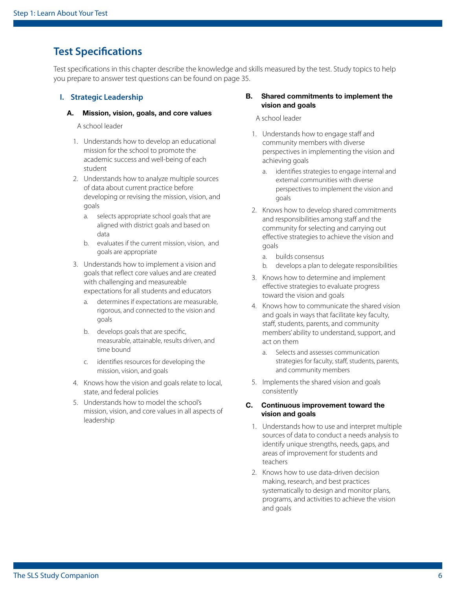### **Test Specifcations**

Test specifcations in this chapter describe the knowledge and skills measured by the test. Study topics to help you prepare to answer test questions can be found on [page 35](#page-34-1).

#### **I. Strategic Leadership**

#### A. Mission, vision, goals, and core values

A school leader

- 1. Understands how to develop an educational mission for the school to promote the academic success and well-being of each student
- 2. Understands how to analyze multiple sources of data about current practice before developing or revising the mission, vision, and goals
	- a. selects appropriate school goals that are aligned with district goals and based on data
	- b. evaluates if the current mission, vision, and goals are appropriate
- 3. Understands how to implement a vision and goals that refect core values and are created with challenging and measureable expectations for all students and educators
	- a. determines if expectations are measurable, rigorous, and connected to the vision and goals
	- b. develops goals that are specifc, measurable, attainable, results driven, and time bound
	- c. identifes resources for developing the mission, vision, and goals
- 4. Knows how the vision and goals relate to local, state, and federal policies
- 5. Understands how to model the school's mission, vision, and core values in all aspects of leadership

#### B. Shared commitments to implement the vision and goals

A school leader

- 1. Understands how to engage staff and community members with diverse perspectives in implementing the vision and achieving goals
	- a. identifes strategies to engage internal and external communities with diverse perspectives to implement the vision and goals
- 2. Knows how to develop shared commitments and responsibilities among staff and the community for selecting and carrying out efective strategies to achieve the vision and goals
	- a. builds consensus
	- b. develops a plan to delegate responsibilities
- 3. Knows how to determine and implement efective strategies to evaluate progress toward the vision and goals
- 4. Knows how to communicate the shared vision and goals in ways that facilitate key faculty, staff, students, parents, and community members' ability to understand, support, and act on them
	- a. Selects and assesses communication strategies for faculty, staff, students, parents, and community members
- 5. Implements the shared vision and goals consistently

#### C. Continuous improvement toward the vision and goals

- 1. Understands how to use and interpret multiple sources of data to conduct a needs analysis to identify unique strengths, needs, gaps, and areas of improvement for students and teachers
- 2. Knows how to use data-driven decision making, research, and best practices systematically to design and monitor plans, programs, and activities to achieve the vision and goals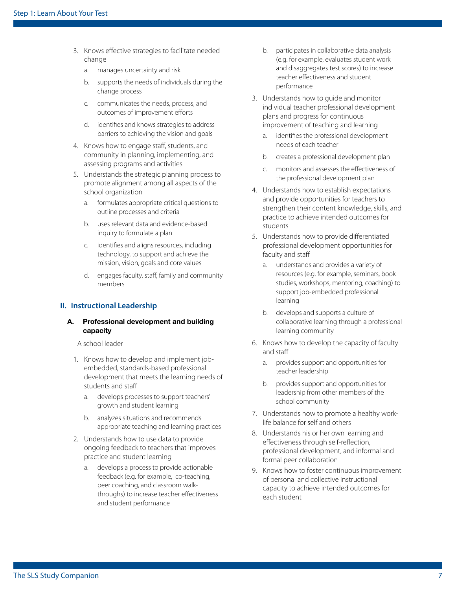- 3. Knows efective strategies to facilitate needed change
	- a. manages uncertainty and risk
	- b. supports the needs of individuals during the change process
	- c. communicates the needs, process, and outcomes of improvement efforts
	- d. identifes and knows strategies to address barriers to achieving the vision and goals
- 4. Knows how to engage staff, students, and community in planning, implementing, and assessing programs and activities
- 5. Understands the strategic planning process to promote alignment among all aspects of the school organization
	- a. formulates appropriate critical questions to outline processes and criteria
	- b. uses relevant data and evidence-based inquiry to formulate a plan
	- c. identifes and aligns resources, including technology, to support and achieve the mission, vision, goals and core values
	- d. engages faculty, staff, family and community members

#### **II. Instructional Leadership**

#### A. Professional development and building capacity

- 1. Knows how to develop and implement jobembedded, standards-based professional development that meets the learning needs of students and staff
	- a. develops processes to support teachers' growth and student learning
	- b. analyzes situations and recommends appropriate teaching and learning practices
- 2. Understands how to use data to provide ongoing feedback to teachers that improves practice and student learning
	- a. develops a process to provide actionable feedback (e.g. for example, co-teaching, peer coaching, and classroom walkthroughs) to increase teacher efectiveness and student performance
- b. participates in collaborative data analysis (e.g. for example, evaluates student work and disaggregates test scores) to increase teacher efectiveness and student performance
- 3. Understands how to guide and monitor individual teacher professional development plans and progress for continuous improvement of teaching and learning
	- a. identifes the professional development needs of each teacher
	- b. creates a professional development plan
	- c. monitors and assesses the efectiveness of the professional development plan
- 4. Understands how to establish expectations and provide opportunities for teachers to strengthen their content knowledge, skills, and practice to achieve intended outcomes for students
- 5. Understands how to provide diferentiated professional development opportunities for faculty and staff
	- a. understands and provides a variety of resources (e.g. for example, seminars, book studies, workshops, mentoring, coaching) to support job-embedded professional learning
	- b. develops and supports a culture of collaborative learning through a professional learning community
- 6. Knows how to develop the capacity of faculty and staf
	- a. provides support and opportunities for teacher leadership
	- b. provides support and opportunities for leadership from other members of the school community
- 7. Understands how to promote a healthy worklife balance for self and others
- 8. Understands his or her own learning and efectiveness through self-refection, professional development, and informal and formal peer collaboration
- 9. Knows how to foster continuous improvement of personal and collective instructional capacity to achieve intended outcomes for each student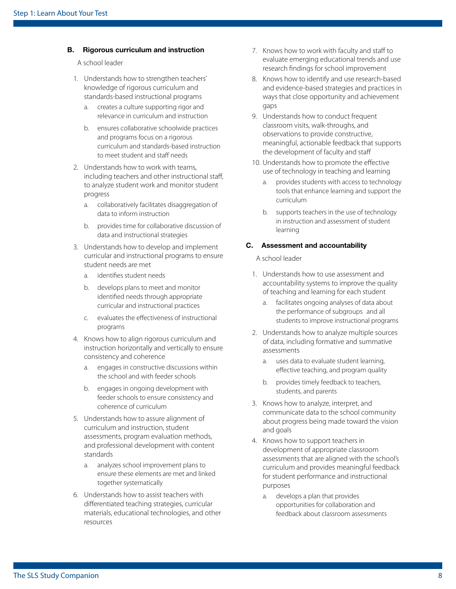#### B. Rigorous curriculum and instruction

A school leader

- 1. Understands how to strengthen teachers' knowledge of rigorous curriculum and standards-based instructional programs
	- a. creates a culture supporting rigor and relevance in curriculum and instruction
	- b. ensures collaborative schoolwide practices and programs focus on a rigorous curriculum and standards-based instruction to meet student and staff needs
- 2. Understands how to work with teams, including teachers and other instructional staf, to analyze student work and monitor student progress
	- a. collaboratively facilitates disaggregation of data to inform instruction
	- b. provides time for collaborative discussion of data and instructional strategies
- 3. Understands how to develop and implement curricular and instructional programs to ensure student needs are met
	- a. identifes student needs
	- b. develops plans to meet and monitor identifed needs through appropriate curricular and instructional practices
	- c. evaluates the efectiveness of instructional programs
- 4. Knows how to align rigorous curriculum and instruction horizontally and vertically to ensure consistency and coherence
	- a. engages in constructive discussions within the school and with feeder schools
	- b. engages in ongoing development with feeder schools to ensure consistency and coherence of curriculum
- 5. Understands how to assure alignment of curriculum and instruction, student assessments, program evaluation methods, and professional development with content standards
	- a. analyzes school improvement plans to ensure these elements are met and linked together systematically
- 6. Understands how to assist teachers with diferentiated teaching strategies, curricular materials, educational technologies, and other resources
- 7. Knows how to work with faculty and staff to evaluate emerging educational trends and use research fndings for school improvement
- 8. Knows how to identify and use research-based and evidence-based strategies and practices in ways that close opportunity and achievement gaps
- 9. Understands how to conduct frequent classroom visits, walk-throughs, and observations to provide constructive, meaningful, actionable feedback that supports the development of faculty and staff
- 10. Understands how to promote the effective use of technology in teaching and learning
	- a. provides students with access to technology tools that enhance learning and support the curriculum
	- b. supports teachers in the use of technology in instruction and assessment of student learning

#### C. Assessment and accountability

- 1. Understands how to use assessment and accountability systems to improve the quality of teaching and learning for each student
	- a. facilitates ongoing analyses of data about the performance of subgroups and all students to improve instructional programs
- 2. Understands how to analyze multiple sources of data, including formative and summative assessments
	- a. uses data to evaluate student learning, efective teaching, and program quality
	- b. provides timely feedback to teachers, students, and parents
- 3. Knows how to analyze, interpret, and communicate data to the school community about progress being made toward the vision and goals
- 4. Knows how to support teachers in development of appropriate classroom assessments that are aligned with the school's curriculum and provides meaningful feedback for student performance and instructional purposes
	- a. develops a plan that provides opportunities for collaboration and feedback about classroom assessments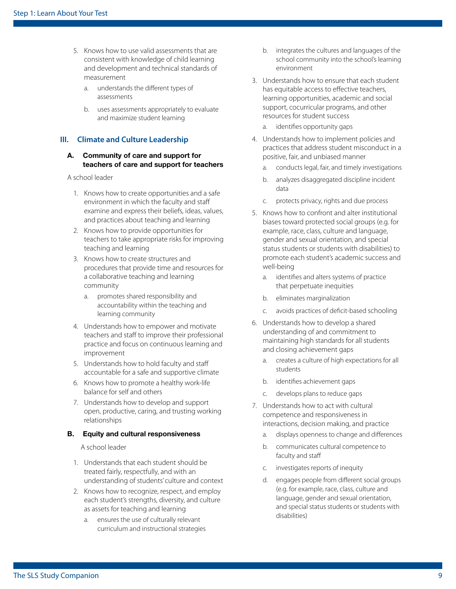- 5. Knows how to use valid assessments that are consistent with knowledge of child learning and development and technical standards of measurement
	- a. understands the diferent types of assessments
	- b. uses assessments appropriately to evaluate and maximize student learning

#### **III. Climate and Culture Leadership**

#### A. Community of care and support for teachers of care and support for teachers

#### A school leader

- 1. Knows how to create opportunities and a safe environment in which the faculty and staf examine and express their beliefs, ideas, values, and practices about teaching and learning
- 2. Knows how to provide opportunities for teachers to take appropriate risks for improving teaching and learning
- 3. Knows how to create structures and procedures that provide time and resources for a collaborative teaching and learning community
	- a. promotes shared responsibility and accountability within the teaching and learning community
- 4. Understands how to empower and motivate teachers and staff to improve their professional practice and focus on continuous learning and improvement
- 5. Understands how to hold faculty and staf accountable for a safe and supportive climate
- 6. Knows how to promote a healthy work-life balance for self and others
- 7. Understands how to develop and support open, productive, caring, and trusting working relationships

#### B. Equity and cultural responsiveness

- 1. Understands that each student should be treated fairly, respectfully, and with an understanding of students' culture and context
- 2. Knows how to recognize, respect, and employ each student's strengths, diversity, and culture as assets for teaching and learning
	- a. ensures the use of culturally relevant curriculum and instructional strategies
- b. integrates the cultures and languages of the school community into the school's learning environment
- 3. Understands how to ensure that each student has equitable access to effective teachers, learning opportunities, academic and social support, cocurricular programs, and other resources for student success
	- a. identifes opportunity gaps
- 4. Understands how to implement policies and practices that address student misconduct in a positive, fair, and unbiased manner
	- a. conducts legal, fair, and timely investigations
	- b. analyzes disaggregated discipline incident data
	- c. protects privacy, rights and due process
- 5. Knows how to confront and alter institutional biases toward protected social groups (e.g. for example, race, class, culture and language, gender and sexual orientation, and special status students or students with disabilities) to promote each student's academic success and well-being
	- a. identifes and alters systems of practice that perpetuate inequities
	- b. eliminates marginalization
	- c. avoids practices of defcit-based schooling
- 6. Understands how to develop a shared understanding of and commitment to maintaining high standards for all students and closing achievement gaps
	- a. creates a culture of high expectations for all students
	- b. identifes achievement gaps
	- c. develops plans to reduce gaps
- 7. Understands how to act with cultural competence and responsiveness in interactions, decision making, and practice
	- a. displays openness to change and diferences
	- b. communicates cultural competence to faculty and staff
	- c. investigates reports of inequity
	- d. engages people from diferent social groups (e.g. for example, race, class, culture and language, gender and sexual orientation, and special status students or students with disabilities)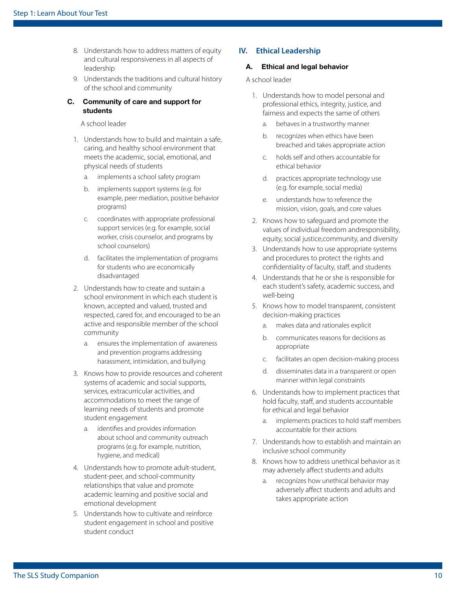- 8. Understands how to address matters of equity and cultural responsiveness in all aspects of leadership
- 9. Understands the traditions and cultural history of the school and community

#### C. Community of care and support for students

#### A school leader

- 1. Understands how to build and maintain a safe, caring, and healthy school environment that meets the academic, social, emotional, and physical needs of students
	- a. implements a school safety program
	- b. implements support systems (e.g. for example, peer mediation, positive behavior programs)
	- c. coordinates with appropriate professional support services (e.g. for example, social worker, crisis counselor, and programs by school counselors)
	- d. facilitates the implementation of programs for students who are economically disadvantaged
- 2. Understands how to create and sustain a school environment in which each student is known, accepted and valued, trusted and respected, cared for, and encouraged to be an active and responsible member of the school community
	- a. ensures the implementation of awareness and prevention programs addressing harassment, intimidation, and bullying
- 3. Knows how to provide resources and coherent systems of academic and social supports, services, extracurricular activities, and accommodations to meet the range of learning needs of students and promote student engagement
	- a. identifes and provides information about school and community outreach programs (e.g. for example, nutrition, hygiene, and medical)
- 4. Understands how to promote adult-student, student-peer, and school-community relationships that value and promote academic learning and positive social and emotional development
- 5. Understands how to cultivate and reinforce student engagement in school and positive student conduct

#### **IV. Ethical Leadership**

#### A. Ethical and legal behavior

- 1. Understands how to model personal and professional ethics, integrity, justice, and fairness and expects the same of others
	- a. behaves in a trustworthy manner
	- b. recognizes when ethics have been breached and takes appropriate action
	- c. holds self and others accountable for ethical behavior
	- d. practices appropriate technology use (e.g. for example, social media)
	- e. understands how to reference the mission, vision, goals, and core values
- 2. Knows how to safeguard and promote the values of individual freedom andresponsibility, equity, social justice,community, and diversity
- 3. Understands how to use appropriate systems and procedures to protect the rights and confidentiality of faculty, staff, and students
- 4. Understands that he or she is responsible for each student's safety, academic success, and well-being
- 5. Knows how to model transparent, consistent decision-making practices
	- a. makes data and rationales explicit
	- b. communicates reasons for decisions as appropriate
	- c. facilitates an open decision-making process
	- d. disseminates data in a transparent or open manner within legal constraints
- 6. Understands how to implement practices that hold faculty, staff, and students accountable for ethical and legal behavior
	- a. implements practices to hold staff members accountable for their actions
- 7. Understands how to establish and maintain an inclusive school community
- 8. Knows how to address unethical behavior as it may adversely afect students and adults
	- a. recognizes how unethical behavior may adversely afect students and adults and takes appropriate action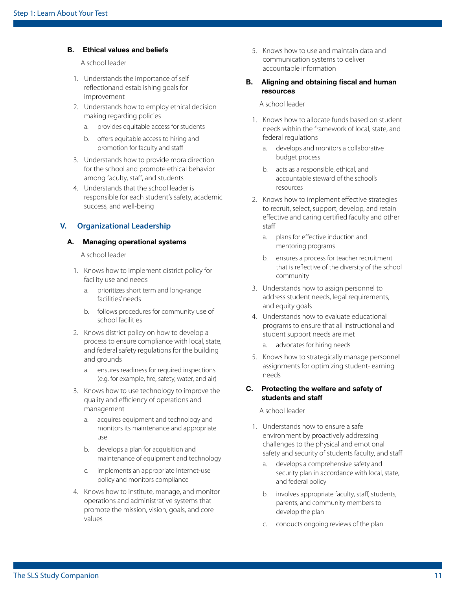#### B. Ethical values and beliefs

A school leader

- 1. Understands the importance of self refectionand establishing goals for improvement
- 2. Understands how to employ ethical decision making regarding policies
	- a. provides equitable access for students
	- b. offers equitable access to hiring and promotion for faculty and staff
- 3. Understands how to provide moraldirection for the school and promote ethical behavior among faculty, staff, and students
- 4. Understands that the school leader is responsible for each student's safety, academic success, and well-being

#### **V. Organizational Leadership**

#### A. Managing operational systems

A school leader

- 1. Knows how to implement district policy for facility use and needs
	- a. prioritizes short term and long-range facilities' needs
	- b. follows procedures for community use of school facilities
- 2. Knows district policy on how to develop a process to ensure compliance with local, state, and federal safety regulations for the building and grounds
	- a. ensures readiness for required inspections (e.g. for example, fre, safety, water, and air)
- 3. Knows how to use technology to improve the quality and efficiency of operations and management
	- a. acquires equipment and technology and monitors its maintenance and appropriate use
	- b. develops a plan for acquisition and maintenance of equipment and technology
	- c. implements an appropriate Internet-use policy and monitors compliance
- 4. Knows how to institute, manage, and monitor operations and administrative systems that promote the mission, vision, goals, and core values
- 5. Knows how to use and maintain data and communication systems to deliver accountable information
- B. Aligning and obtaining fiscal and human resources

A school leader

- 1. Knows how to allocate funds based on student needs within the framework of local, state, and federal regulations
	- a. develops and monitors a collaborative budget process
	- b. acts as a responsible, ethical, and accountable steward of the school's resources
- 2. Knows how to implement efective strategies to recruit, select, support, develop, and retain efective and caring certifed faculty and other staf
	- a. plans for efective induction and mentoring programs
	- b. ensures a process for teacher recruitment that is refective of the diversity of the school community
- 3. Understands how to assign personnel to address student needs, legal requirements, and equity goals
- 4. Understands how to evaluate educational programs to ensure that all instructional and student support needs are met
	- a. advocates for hiring needs
- 5. Knows how to strategically manage personnel assignments for optimizing student-learning needs

#### C. Protecting the welfare and safety of students and staff

- 1. Understands how to ensure a safe environment by proactively addressing challenges to the physical and emotional safety and security of students faculty, and staff
	- a. develops a comprehensive safety and security plan in accordance with local, state, and federal policy
	- b. involves appropriate faculty, staff, students, parents, and community members to develop the plan
	- c. conducts ongoing reviews of the plan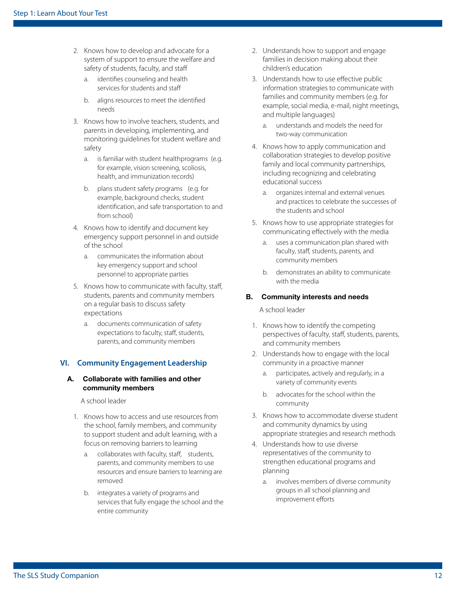- 2. Knows how to develop and advocate for a system of support to ensure the welfare and safety of students, faculty, and staff
	- a. identifes counseling and health services for students and staf
	- b. aligns resources to meet the identifed needs
- 3. Knows how to involve teachers, students, and parents in developing, implementing, and monitoring guidelines for student welfare and safety
	- a. is familiar with student healthprograms (e.g. for example, vision screening, scoliosis, health, and immunization records)
	- b. plans student safety programs (e.g. for example, background checks, student identifcation, and safe transportation to and from school)
- 4. Knows how to identify and document key emergency support personnel in and outside of the school
	- a. communicates the information about key emergency support and school personnel to appropriate parties
- 5. Knows how to communicate with faculty, staf, students, parents and community members on a regular basis to discuss safety expectations
	- a. documents communication of safety expectations to faculty, staff, students, parents, and community members

#### **VI. Community Engagement Leadership**

#### A. Collaborate with families and other community members

A school leader

- 1. Knows how to access and use resources from the school, family members, and community to support student and adult learning, with a focus on removing barriers to learning
	- a. collaborates with faculty, staff, students, parents, and community members to use resources and ensure barriers to learning are removed
	- b. integrates a variety of programs and services that fully engage the school and the entire community
- 2. Understands how to support and engage families in decision making about their children's education
- 3. Understands how to use efective public information strategies to communicate with families and community members (e.g. for example, social media, e-mail, night meetings, and multiple languages)
	- a. understands and models the need for two-way communication
- 4. Knows how to apply communication and collaboration strategies to develop positive family and local community partnerships, including recognizing and celebrating educational success
	- a. organizes internal and external venues and practices to celebrate the successes of the students and school
- 5. Knows how to use appropriate strategies for communicating efectively with the media
	- a. uses a communication plan shared with faculty, staff, students, parents, and community members
	- b. demonstrates an ability to communicate with the media

#### B. Community interests and needs

- 1. Knows how to identify the competing perspectives of faculty, staff, students, parents, and community members
- 2. Understands how to engage with the local community in a proactive manner
	- a. participates, actively and regularly, in a variety of community events
	- b. advocates for the school within the community
- 3. Knows how to accommodate diverse student and community dynamics by using appropriate strategies and research methods
- 4. Understands how to use diverse representatives of the community to strengthen educational programs and planning
	- a. involves members of diverse community groups in all school planning and improvement efforts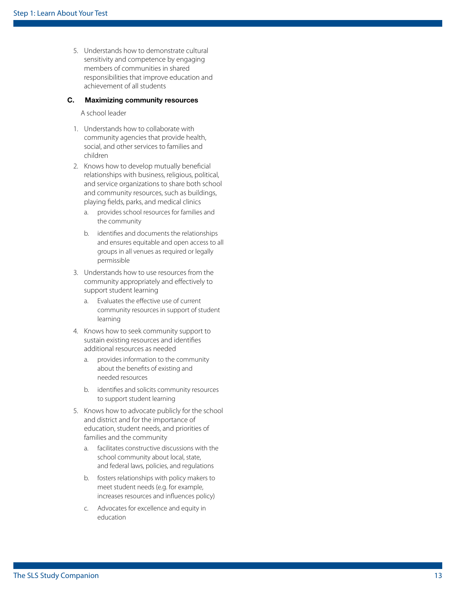5. Understands how to demonstrate cultural sensitivity and competence by engaging members of communities in shared responsibilities that improve education and achievement of all students

#### C. Maximizing community resources

- 1. Understands how to collaborate with community agencies that provide health, social, and other services to families and children
- 2. Knows how to develop mutually benefcial relationships with business, religious, political, and service organizations to share both school and community resources, such as buildings, playing felds, parks, and medical clinics
	- a. provides school resources for families and the community
	- b. identifes and documents the relationships and ensures equitable and open access to all groups in all venues as required or legally permissible
- 3. Understands how to use resources from the community appropriately and efectively to support student learning
	- a. Evaluates the efective use of current community resources in support of student learning
- 4. Knows how to seek community support to sustain existing resources and identifes additional resources as needed
	- a. provides information to the community about the benefts of existing and needed resources
	- b. identifes and solicits community resources to support student learning
- 5. Knows how to advocate publicly for the school and district and for the importance of education, student needs, and priorities of families and the community
	- a. facilitates constructive discussions with the school community about local, state, and federal laws, policies, and regulations
	- b. fosters relationships with policy makers to meet student needs (e.g. for example, increases resources and infuences policy)
	- c. Advocates for excellence and equity in education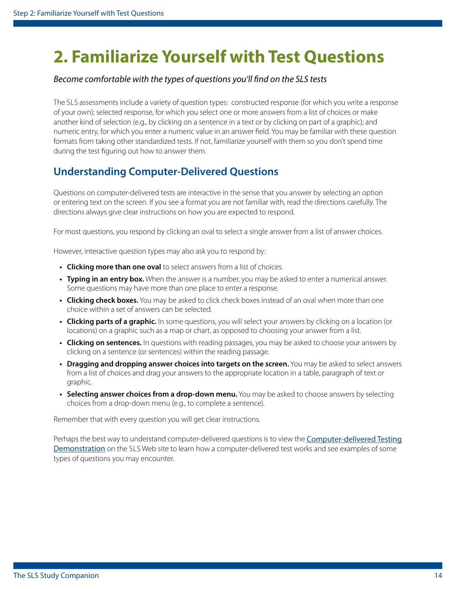## <span id="page-13-0"></span>**2. Familiarize Yourself with Test Questions**

#### *Become comfortable with the types of questions you'll fnd on the SLS tests*

 The SLS assessments include a variety of question types: constructed response (for which you write a response of your own); selected response, for which you select one or more answers from a list of choices or make another kind of selection (e.g., by clicking on a sentence in a text or by clicking on part of a graphic); and numeric entry, for which you enter a numeric value in an answer feld. You may be familiar with these question formats from taking other standardized tests. If not, familiarize yourself with them so you don't spend time during the test figuring out how to answer them.

## **Understanding Computer-Delivered Questions**

Questions on computer-delivered tests are interactive in the sense that you answer by selecting an option or entering text on the screen. If you see a format you are not familiar with, read the directions carefully. The directions always give clear instructions on how you are expected to respond.

For most questions, you respond by clicking an oval to select a single answer from a list of answer choices.

However, interactive question types may also ask you to respond by:

- **Clicking more than one oval** to select answers from a list of choices.
- **Typing in an entry box.** When the answer is a number, you may be asked to enter a numerical answer. Some questions may have more than one place to enter a response.
- **Clicking check boxes.** You may be asked to click check boxes instead of an oval when more than one choice within a set of answers can be selected.
- **Clicking parts of a graphic.** In some questions, you will select your answers by clicking on a location (or locations) on a graphic such as a map or chart, as opposed to choosing your answer from a list.
- **Clicking on sentences.** In questions with reading passages, you may be asked to choose your answers by clicking on a sentence (or sentences) within the reading passage.
- **Dragging and dropping answer choices into targets on the screen.** You may be asked to select answers from a list of choices and drag your answers to the appropriate location in a table, paragraph of text or graphic.
- **Selecting answer choices from a drop-down menu.** You may be asked to choose answers by selecting choices from a drop-down menu (e.g., to complete a sentence).

Remember that with every question you will get clear instructions.

[Demonstration](http://www.ets.org/s/praxis/flash/cbt/praxis_cdt_demo_web1.html) on the SLS Web site to learn how a computer-delivered test works and see examples of some Perhaps the best way to understand computer-delivered questions is to view the [Computer-delivered Testing](http://www.ets.org/s/praxis/flash/cbt/praxis_cdt_demo_web1.html)  types of questions you may encounter.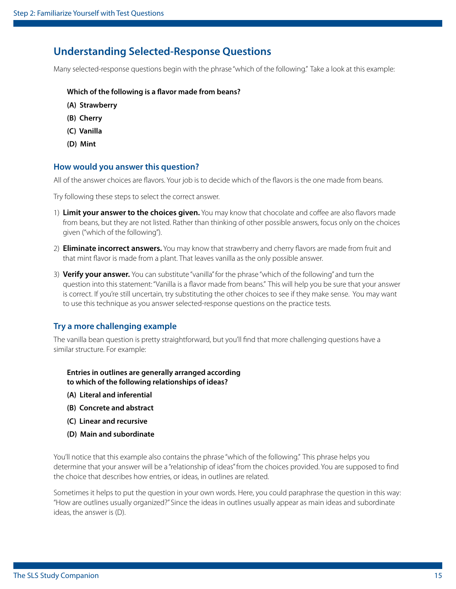### **Understanding Selected-Response Questions**

Many selected-response questions begin with the phrase "which of the following." Take a look at this example:

#### **Which of the following is a favor made from beans?**

- **(A) Strawberry**
- **(B) Cherry**
- **(C) Vanilla**
- **(D) Mint**

#### **How would you answer this question?**

All of the answer choices are favors. Your job is to decide which of the favors is the one made from beans.

Try following these steps to select the correct answer.

- 1) **Limit your answer to the choices given.** You may know that chocolate and cofee are also favors made from beans, but they are not listed. Rather than thinking of other possible answers, focus only on the choices given ("which of the following").
- 2) **Eliminate incorrect answers.** You may know that strawberry and cherry favors are made from fruit and that mint favor is made from a plant. That leaves vanilla as the only possible answer.
- 3) **Verify your answer.** You can substitute "vanilla" for the phrase "which of the following" and turn the question into this statement: "Vanilla is a favor made from beans." This will help you be sure that your answer is correct. If you're still uncertain, try substituting the other choices to see if they make sense. You may want to use this technique as you answer selected-response questions on the practice tests.

#### **Try a more challenging example**

The vanilla bean question is pretty straightforward, but you'll fnd that more challenging questions have a similar structure. For example:

**Entries in outlines are generally arranged according to which of the following relationships of ideas?** 

- **(A) Literal and inferential**
- **(B) Concrete and abstract**
- **(C) Linear and recursive**
- **(D) Main and subordinate**

You'll notice that this example also contains the phrase "which of the following." This phrase helps you determine that your answer will be a "relationship of ideas" from the choices provided. You are supposed to fnd the choice that describes how entries, or ideas, in outlines are related.

Sometimes it helps to put the question in your own words. Here, you could paraphrase the question in this way: "How are outlines usually organized?" Since the ideas in outlines usually appear as main ideas and subordinate ideas, the answer is (D).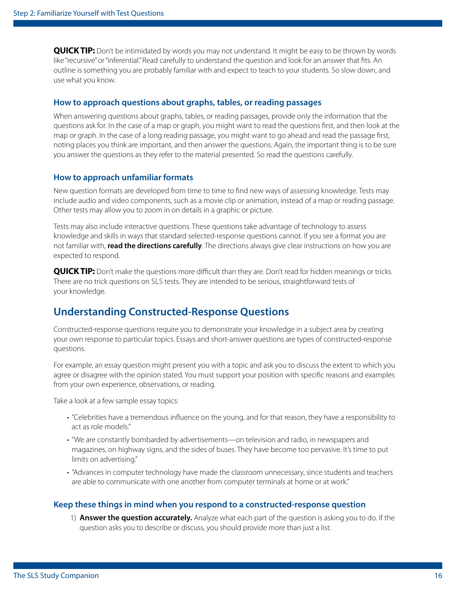**QUICK TIP:** Don't be intimidated by words you may not understand. It might be easy to be thrown by words like "recursive" or "inferential." Read carefully to understand the question and look for an answer that fts. An outline is something you are probably familiar with and expect to teach to your students. So slow down, and use what you know.

#### **How to approach questions about graphs, tables, or reading passages**

When answering questions about graphs, tables, or reading passages, provide only the information that the questions ask for. In the case of a map or graph, you might want to read the questions frst, and then look at the map or graph. In the case of a long reading passage, you might want to go ahead and read the passage frst, noting places you think are important, and then answer the questions. Again, the important thing is to be sure you answer the questions as they refer to the material presented. So read the questions carefully.

#### **How to approach unfamiliar formats**

New question formats are developed from time to time to fnd new ways of assessing knowledge. Tests may include audio and video components, such as a movie clip or animation, instead of a map or reading passage. Other tests may allow you to zoom in on details in a graphic or picture.

Tests may also include interactive questions. These questions take advantage of technology to assess knowledge and skills in ways that standard selected-response questions cannot. If you see a format you are not familiar with, **read the directions carefully**. The directions always give clear instructions on how you are expected to respond.

 There are no trick questions on SLS tests. They are intended to be serious, straightforward tests of **QUICK TIP:** Don't make the questions more difficult than they are. Don't read for hidden meanings or tricks. your knowledge.

### **Understanding Constructed-Response Questions**

Constructed-response questions require you to demonstrate your knowledge in a subject area by creating your own response to particular topics. Essays and short-answer questions are types of constructed-response questions.

For example, an essay question might present you with a topic and ask you to discuss the extent to which you agree or disagree with the opinion stated. You must support your position with specifc reasons and examples from your own experience, observations, or reading.

Take a look at a few sample essay topics:

- "Celebrities have a tremendous infuence on the young, and for that reason, they have a responsibility to act as role models."
- "We are constantly bombarded by advertisements—on television and radio, in newspapers and magazines, on highway signs, and the sides of buses. They have become too pervasive. It's time to put limits on advertising."
- "Advances in computer technology have made the classroom unnecessary, since students and teachers are able to communicate with one another from computer terminals at home or at work."

#### **Keep these things in mind when you respond to a constructed-response question**

1) **Answer the question accurately.** Analyze what each part of the question is asking you to do. If the question asks you to describe or discuss, you should provide more than just a list.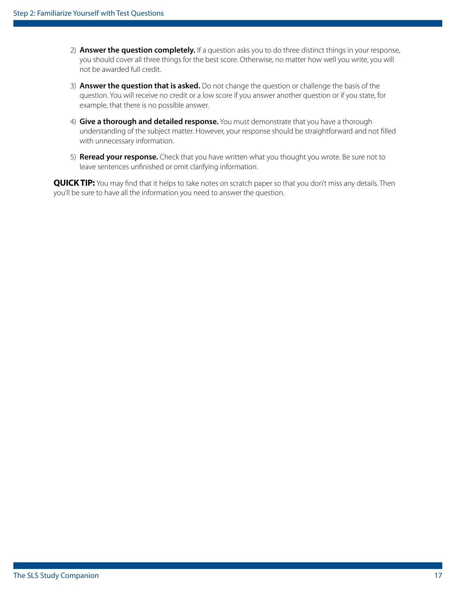- 2) **Answer the question completely.** If a question asks you to do three distinct things in your response, you should cover all three things for the best score. Otherwise, no matter how well you write, you will not be awarded full credit.
- 3) **Answer the question that is asked.** Do not change the question or challenge the basis of the question. You will receive no credit or a low score if you answer another question or if you state, for example, that there is no possible answer.
- 4) **Give a thorough and detailed response.** You must demonstrate that you have a thorough understanding of the subject matter. However, your response should be straightforward and not flled with unnecessary information.
- 5) **Reread your response.** Check that you have written what you thought you wrote. Be sure not to leave sentences unfnished or omit clarifying information.

**QUICK TIP:** You may find that it helps to take notes on scratch paper so that you don't miss any details. Then you'll be sure to have all the information you need to answer the question.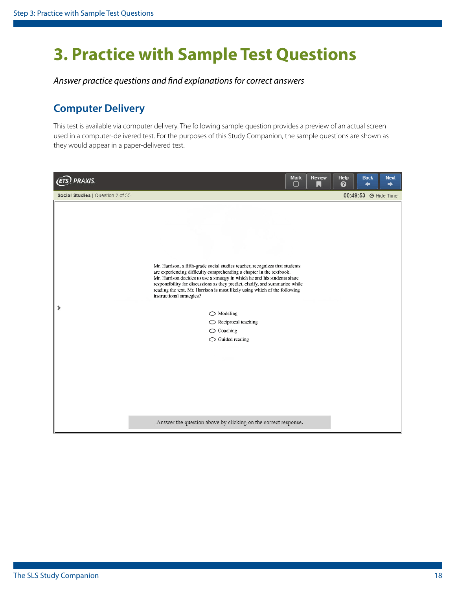## <span id="page-17-0"></span>**3. Practice with Sample Test Questions**

*Answer practice questions and fnd explanations for correct answers* 

## **Computer Delivery**

This test is available via computer delivery. The following sample question provides a preview of an actual screen used in a computer-delivered test. For the purposes of this Study Companion, the sample questions are shown as they would appear in a paper-delivered test.

| PRAXIS.<br>(ETS                   | <b>Review</b><br><b>Mark</b><br>$\Box$<br>$\Delta$                                                                                                                                                                                                                                                                                                                                                                                                                                                                                        | Help<br>ℯ | <b>Back</b><br><b>Next</b><br>↞<br>➡ |
|-----------------------------------|-------------------------------------------------------------------------------------------------------------------------------------------------------------------------------------------------------------------------------------------------------------------------------------------------------------------------------------------------------------------------------------------------------------------------------------------------------------------------------------------------------------------------------------------|-----------|--------------------------------------|
| Social Studies   Question 2 of 55 |                                                                                                                                                                                                                                                                                                                                                                                                                                                                                                                                           |           | 00:49:53 → Hide Time                 |
|                                   | Mr. Harrison, a fifth-grade social studies teacher, recognizes that students<br>are experiencing difficulty comprehending a chapter in the textbook.<br>Mr. Harrison decides to use a strategy in which he and his students share<br>responsibility for discussions as they predict, clarify, and summarize while<br>reading the text. Mr. Harrison is most likely using which of the following<br>instructional strategies?<br>$\bigcirc$ Modeling<br>$\bigcirc$ Reciprocal teaching<br>$\bigcirc$ Coaching<br>$\bigcirc$ Guided reading |           |                                      |
|                                   | Answer the question above by clicking on the correct response.                                                                                                                                                                                                                                                                                                                                                                                                                                                                            |           |                                      |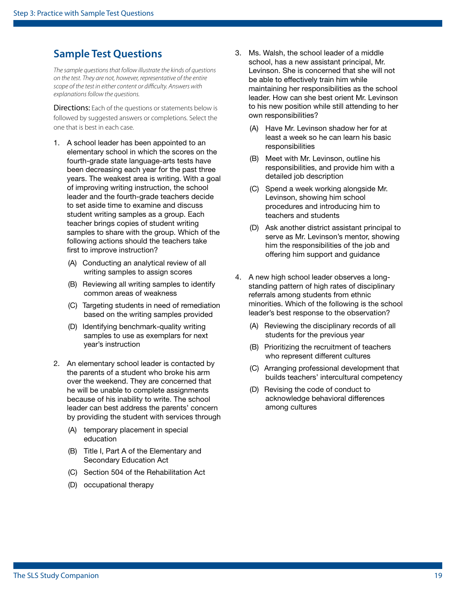### <span id="page-18-0"></span>**Sample Test Questions**

*The sample questions that follow illustrate the kinds of questions on the test. They are not, however, representative of the entire scope of the test in either content or difculty. Answers with explanations follow the questions.* 

**Directions:** Each of the questions or statements below is followed by suggested answers or completions. Select the one that is best in each case.

- 1. A school leader has been appointed to an elementary school in which the scores on the fourth-grade state language-arts tests have been decreasing each year for the past three years. The weakest area is writing. With a goal of improving writing instruction, the school leader and the fourth-grade teachers decide to set aside time to examine and discuss student writing samples as a group. Each teacher brings copies of student writing samples to share with the group. Which of the following actions should the teachers take first to improve instruction?
	- (A) Conducting an analytical review of all writing samples to assign scores
	- (B) Reviewing all writing samples to identify common areas of weakness
	- (C) Targeting students in need of remediation based on the writing samples provided
	- (D) Identifying benchmark-quality writing samples to use as exemplars for next year's instruction
- 2. An elementary school leader is contacted by the parents of a student who broke his arm over the weekend. They are concerned that he will be unable to complete assignments because of his inability to write. The school leader can best address the parents' concern by providing the student with services through
	- (A) temporary placement in special education
	- (B) Title I, Part A of the Elementary and Secondary Education Act
	- (C) Section 504 of the Rehabilitation Act
	- (D) occupational therapy
- 3. Ms. Walsh, the school leader of a middle school, has a new assistant principal, Mr. Levinson. She is concerned that she will not be able to effectively train him while maintaining her responsibilities as the school leader. How can she best orient Mr. Levinson to his new position while still attending to her own responsibilities?
	- (A) Have Mr. Levinson shadow her for at least a week so he can learn his basic responsibilities
	- $(B)$ Meet with Mr. Levinson, outline his responsibilities, and provide him with a detailed job description
	- (C) Spend a week working alongside Mr. Levinson, showing him school procedures and introducing him to teachers and students
	- (D) Ask another district assistant principal to serve as Mr. Levinson's mentor, showing him the responsibilities of the job and offering him support and guidance
- 4. A new high school leader observes a longstanding pattern of high rates of disciplinary referrals among students from ethnic minorities. Which of the following is the school leader's best response to the observation?
	- (A) Reviewing the disciplinary records of all students for the previous year
	- (B) Prioritizing the recruitment of teachers who represent different cultures
	- (C) Arranging professional development that builds teachers' intercultural competency
	- (D) Revising the code of conduct to acknowledge behavioral differences among cultures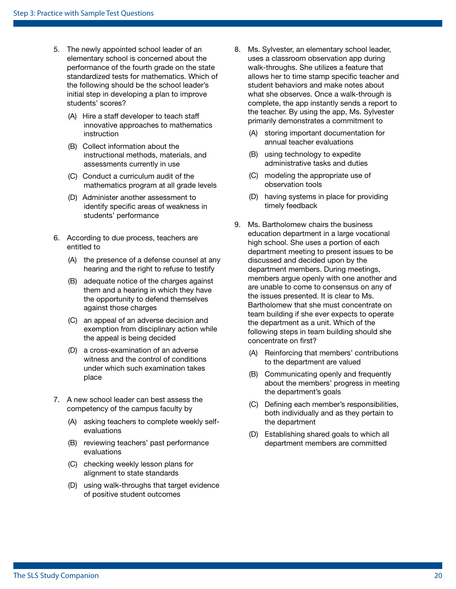- 5. The newly appointed school leader of an elementary school is concerned about the performance of the fourth grade on the state standardized tests for mathematics. Which of the following should be the school leader's initial step in developing a plan to improve students' scores?
	- (A) Hire a staff developer to teach staff innovative approaches to mathematics instruction
	- (B) Collect information about the instructional methods, materials, and assessments currently in use
	- (C) Conduct a curriculum audit of the mathematics program at all grade levels
	- (D) Administer another assessment to identify specific areas of weakness in students' performance
- 6. According to due process, teachers are entitled to
	- (A) the presence of a defense counsel at any hearing and the right to refuse to testify
	- (B) adequate notice of the charges against them and a hearing in which they have the opportunity to defend themselves against those charges
	- (C) an appeal of an adverse decision and exemption from disciplinary action while the appeal is being decided
	- (D) a cross-examination of an adverse witness and the control of conditions under which such examination takes place
- 7. A new school leader can best assess the competency of the campus faculty by
	- (A) asking teachers to complete weekly selfevaluations
	- (B) reviewing teachers' past performance evaluations
	- (C) checking weekly lesson plans for alignment to state standards
	- (D) using walk-throughs that target evidence of positive student outcomes
- 8. Ms. Sylvester, an elementary school leader, uses a classroom observation app during walk-throughs. She utilizes a feature that allows her to time stamp specific teacher and student behaviors and make notes about what she observes. Once a walk-through is complete, the app instantly sends a report to the teacher. By using the app, Ms. Sylvester primarily demonstrates a commitment to
	- (A) storing important documentation for annual teacher evaluations
	- (B) using technology to expedite administrative tasks and duties
	- (C) modeling the appropriate use of observation tools
	- (D) having systems in place for providing timely feedback
- 9. Ms. Bartholomew chairs the business education department in a large vocational high school. She uses a portion of each department meeting to present issues to be discussed and decided upon by the department members. During meetings, members argue openly with one another and are unable to come to consensus on any of the issues presented. It is clear to Ms. Bartholomew that she must concentrate on team building if she ever expects to operate the department as a unit. Which of the following steps in team building should she concentrate on first?
	- (A) Reinforcing that members' contributions to the department are valued
	- (B) Communicating openly and frequently about the members' progress in meeting the department's goals
	- $(C)$ Defining each member's responsibilities, both individually and as they pertain to the department
	- $(D)$ Establishing shared goals to which all department members are committed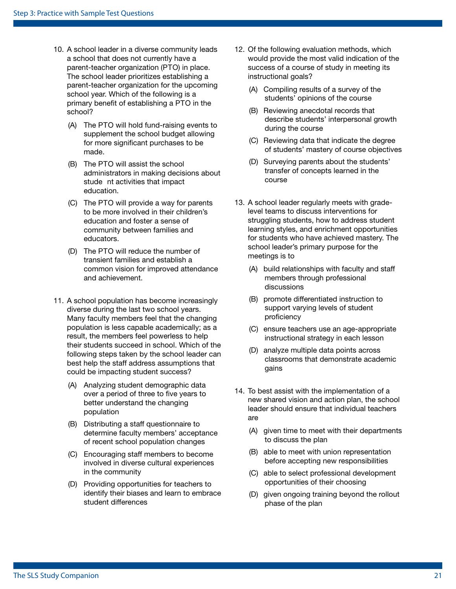- parent-teacher organization (PTO) in place. primary benefit of establishing a PTO in the 10. A school leader in a diverse community leads a school that does not currently have a The school leader prioritizes establishing a parent-teacher organization for the upcoming school year. Which of the following is a school?
	- (A) The PTO will hold fund-raising events to supplement the school budget allowing for more significant purchases to be made.
	- (B) The PTO will assist the school administrators in making decisions about stude nt activities that impact education.
	- (C) The PTO will provide a way for parents to be more involved in their children's education and foster a sense of community between families and educators.
	- (D) The PTO will reduce the number of transient families and establish a common vision for improved attendance and achievement.
- 11. A school population has become increasingly diverse during the last two school years. Many faculty members feel that the changing population is less capable academically; as a result, the members feel powerless to help their students succeed in school. Which of the following steps taken by the school leader can best help the staff address assumptions that could be impacting student success?
	- (A) Analyzing student demographic data over a period of three to five years to better understand the changing population
	- (B) Distributing a staff questionnaire to determine faculty members' acceptance of recent school population changes
	- (C) Encouraging staff members to become involved in diverse cultural experiences in the community
	- (D) Providing opportunities for teachers to identify their biases and learn to embrace student differences
- 12. Of the following evaluation methods, which would provide the most valid indication of the success of a course of study in meeting its instructional goals?
	- (A) Compiling results of a survey of the students' opinions of the course
	- (B) Reviewing anecdotal records that describe students' interpersonal growth during the course
	- (C) Reviewing data that indicate the degree of students' mastery of course objectives
	- (D) Surveying parents about the students' transfer of concepts learned in the course
- 13. A school leader regularly meets with gradelevel teams to discuss interventions for struggling students, how to address student learning styles, and enrichment opportunities for students who have achieved mastery. The school leader's primary purpose for the meetings is to
	- (A) build relationships with faculty and staff members through professional discussions
	- (B) promote differentiated instruction to support varying levels of student proficiency
	- (C) ensure teachers use an age-appropriate instructional strategy in each lesson
	- (D) analyze multiple data points across classrooms that demonstrate academic gains
- 14. To best assist with the implementation of a new shared vision and action plan, the school leader should ensure that individual teachers are
	- (A) given time to meet with their departments to discuss the plan
	- (B) able to meet with union representation before accepting new responsibilities
	- (C) able to select professional development opportunities of their choosing
	- (D) given ongoing training beyond the rollout phase of the plan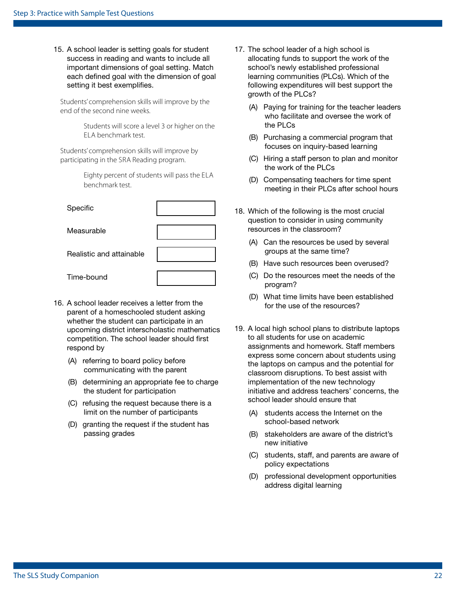15. A school leader is setting goals for student success in reading and wants to include all important dimensions of goal setting. Match each defned goal with the dimension of goal setting it best exemplifies.

Students' comprehension skills will improve by the end of the second nine weeks.

> ELA benchmark test. Students will score a level 3 or higher on the

 participating in the SRA Reading program. Students' comprehension skills will improve by

> Eighty percent of students will pass the ELA benchmark test.

| Specific                 |  |
|--------------------------|--|
| Measurable               |  |
| Realistic and attainable |  |
| Time-bound               |  |

- 16. A school leader receives a letter from the parent of a homeschooled student asking whether the student can participate in an upcoming district interscholastic mathematics competition. The school leader should first respond by
	- (A) referring to board policy before communicating with the parent
	- (B) determining an appropriate fee to charge the student for participation
	- (C) refusing the request because there is a limit on the number of participants
	- (D) granting the request if the student has passing grades
- 17. The school leader of a high school is allocating funds to support the work of the school's newly established professional learning communities (PLCs). Which of the following expenditures will best support the growth of the PLCs?
	- (A) Paying for training for the teacher leaders who facilitate and oversee the work of the PLCs
	- (B) Purchasing a commercial program that focuses on inquiry-based learning
	- (C) Hiring a staff person to plan and monitor the work of the PLCs
	- (D) Compensating teachers for time spent meeting in their PLCs after school hours
- 18. Which of the following is the most crucial question to consider in using community resources in the classroom?
	- (A) Can the resources be used by several groups at the same time?
	- (B) Have such resources been overused?
	- (C) Do the resources meet the needs of the program?
	- (D) What time limits have been established for the use of the resources?
- 19. A local high school plans to distribute laptops to all students for use on academic assignments and homework. Staff members express some concern about students using the laptops on campus and the potential for classroom disruptions. To best assist with implementation of the new technology initiative and address teachers' concerns, the school leader should ensure that
	- (A) students access the Internet on the school-based network
	- (B) stakeholders are aware of the district's new initiative
	- (C) students, staff, and parents are aware of policy expectations
	- (D) professional development opportunities address digital learning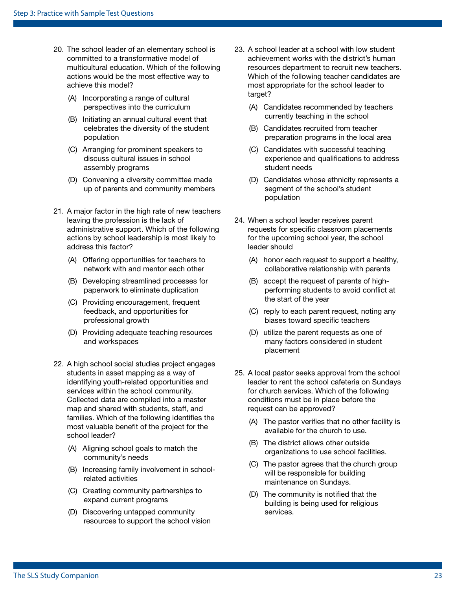- 20. The school leader of an elementary school is committed to a transformative model of multicultural education. Which of the following actions would be the most effective way to achieve this model?
	- (A) Incorporating a range of cultural perspectives into the curriculum
	- (B) Initiating an annual cultural event that celebrates the diversity of the student population
	- (C) Arranging for prominent speakers to discuss cultural issues in school assembly programs
	- (D) Convening a diversity committee made up of parents and community members
- 21. A major factor in the high rate of new teachers leaving the profession is the lack of administrative support. Which of the following actions by school leadership is most likely to address this factor?
	- (A) Offering opportunities for teachers to network with and mentor each other
	- (B) Developing streamlined processes for paperwork to eliminate duplication
	- (C) Providing encouragement, frequent feedback, and opportunities for professional growth
	- (D) Providing adequate teaching resources and workspaces
- 22. A high school social studies project engages students in asset mapping as a way of identifying youth-related opportunities and services within the school community. Collected data are compiled into a master map and shared with students, staff, and families. Which of the following identifies the most valuable benefit of the project for the school leader?
	- (A) Aligning school goals to match the community's needs
	- (B) Increasing family involvement in schoolrelated activities
	- (C) Creating community partnerships to expand current programs
	- (D) Discovering untapped community resources to support the school vision
- 23. A school leader at a school with low student achievement works with the district's human resources department to recruit new teachers. Which of the following teacher candidates are most appropriate for the school leader to target?
	- (A) Candidates recommended by teachers currently teaching in the school
	- (B) Candidates recruited from teacher preparation programs in the local area
	- (C) Candidates with successful teaching experience and qualifications to address student needs
	- (D) Candidates whose ethnicity represents a segment of the school's student population
- 24. When a school leader receives parent requests for specific classroom placements for the upcoming school year, the school leader should
	- (A) honor each request to support a healthy, collaborative relationship with parents
	- (B) accept the request of parents of highperforming students to avoid confict at the start of the year
	- (C) reply to each parent request, noting any biases toward specific teachers
	- (D) utilize the parent requests as one of many factors considered in student placement
- 25. A local pastor seeks approval from the school leader to rent the school cafeteria on Sundays for church services. Which of the following conditions must be in place before the request can be approved?
	- (A) The pastor verifes that no other facility is available for the church to use.
	- (B) The district allows other outside organizations to use school facilities.
	- (C) The pastor agrees that the church group will be responsible for building maintenance on Sundays.
	- (D) The community is notifed that the building is being used for religious services.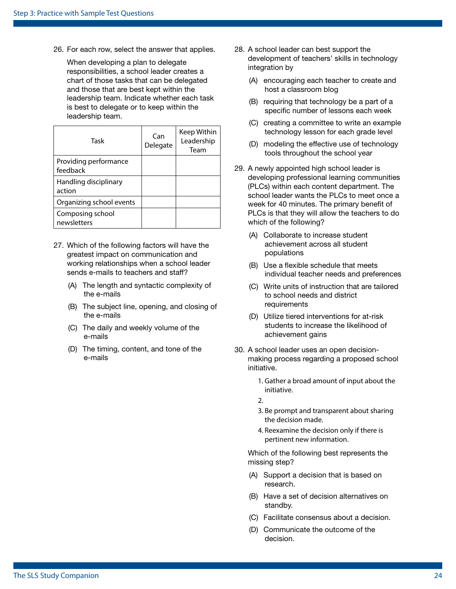26. For each row, select the answer that applies.

When developing a plan to delegate responsibilities, a school leader creates a chart of those tasks that can be delegated and those that are best kept within the leadership team. Indicate whether each task is best to delegate or to keep within the leadership team.

| Task                              | Can<br>Delegate | Keep Within<br>Leadership<br>Team |
|-----------------------------------|-----------------|-----------------------------------|
| Providing performance<br>feedback |                 |                                   |
| Handling disciplinary<br>action   |                 |                                   |
| Organizing school events          |                 |                                   |
| Composing school<br>newsletters   |                 |                                   |

- 27. Which of the following factors will have the greatest impact on communication and working relationships when a school leader sends e-mails to teachers and staff?
	- (A) The length and syntactic complexity of the e-mails
	- (B) The subject line, opening, and closing of the e-mails
	- (C) The daily and weekly volume of the e-mails
	- (D) The timing, content, and tone of the e-mails
- 28. A school leader can best support the development of teachers' skills in technology integration by
	- (A) encouraging each teacher to create and host a classroom blog
	- (B) requiring that technology be a part of a specific number of lessons each week
	- (C) creating a committee to write an example technology lesson for each grade level
	- (D) modeling the effective use of technology tools throughout the school year
- 29. A newly appointed high school leader is developing professional learning communities (PLCs) within each content department. The school leader wants the PLCs to meet once a week for 40 minutes. The primary benefit of PLCs is that they will allow the teachers to do which of the following?
	- (A) Collaborate to increase student achievement across all student populations
	- (B) Use a fexible schedule that meets individual teacher needs and preferences
	- (C) Write units of instruction that are tailored to school needs and district requirements
	- (D) Utilize tiered interventions for at-risk students to increase the likelihood of achievement gains
- 30. A school leader uses an open decisionmaking process regarding a proposed school initiative.
	- 1. Gather a broad amount of input about the initiative.

2.

- 3. Be prompt and transparent about sharing the decision made.
- 4. Reexamine the decision only if there is pertinent new information.

Which of the following best represents the missing step?

- (A) Support a decision that is based on research.
- (B) Have a set of decision alternatives on standby.
- (C) Facilitate consensus about a decision.
- (D) Communicate the outcome of the decision.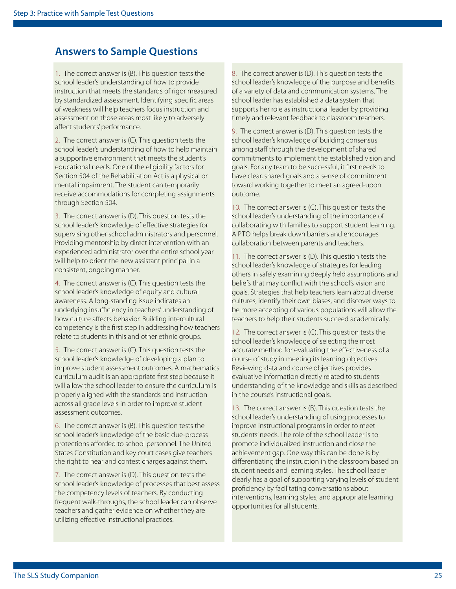### **Answers to Sample Questions**

1. The correct answer is (B). This question tests the school leader's understanding of how to provide instruction that meets the standards of rigor measured by standardized assessment. Identifying specifc areas of weakness will help teachers focus instruction and assessment on those areas most likely to adversely afect students' performance.

2. The correct answer is (C). This question tests the school leader's understanding of how to help maintain a supportive environment that meets the student's educational needs. One of the eligibility factors for Section 504 of the Rehabilitation Act is a physical or mental impairment. The student can temporarily receive accommodations for completing assignments through Section 504.

3. The correct answer is (D). This question tests the school leader's knowledge of efective strategies for supervising other school administrators and personnel. Providing mentorship by direct intervention with an experienced administrator over the entire school year will help to orient the new assistant principal in a consistent, ongoing manner.

4. The correct answer is (C). This question tests the school leader's knowledge of equity and cultural awareness. A long-standing issue indicates an underlying insufficiency in teachers' understanding of how culture affects behavior. Building intercultural competency is the frst step in addressing how teachers relate to students in this and other ethnic groups.

5. The correct answer is (C). This question tests the school leader's knowledge of developing a plan to improve student assessment outcomes. A mathematics curriculum audit is an appropriate frst step because it will allow the school leader to ensure the curriculum is properly aligned with the standards and instruction across all grade levels in order to improve student assessment outcomes.

6. The correct answer is (B). This question tests the school leader's knowledge of the basic due-process protections afforded to school personnel. The United States Constitution and key court cases give teachers the right to hear and contest charges against them.

7. The correct answer is (D). This question tests the school leader's knowledge of processes that best assess the competency levels of teachers. By conducting frequent walk-throughs, the school leader can observe teachers and gather evidence on whether they are utilizing efective instructional practices.

8. The correct answer is (D). This question tests the school leader's knowledge of the purpose and benefts of a variety of data and communication systems. The school leader has established a data system that supports her role as instructional leader by providing timely and relevant feedback to classroom teachers.

9. The correct answer is (D). This question tests the school leader's knowledge of building consensus among staff through the development of shared commitments to implement the established vision and goals. For any team to be successful, it frst needs to have clear, shared goals and a sense of commitment toward working together to meet an agreed-upon outcome.

 A PTO helps break down barriers and encourages 10. The correct answer is (C). This question tests the school leader's understanding of the importance of collaborating with families to support student learning. collaboration between parents and teachers.

11. The correct answer is (D). This question tests the school leader's knowledge of strategies for leading others in safely examining deeply held assumptions and beliefs that may confict with the school's vision and goals. Strategies that help teachers learn about diverse cultures, identify their own biases, and discover ways to be more accepting of various populations will allow the teachers to help their students succeed academically.

12. The correct answer is (C). This question tests the school leader's knowledge of selecting the most accurate method for evaluating the efectiveness of a course of study in meeting its learning objectives. Reviewing data and course objectives provides evaluative information directly related to students' understanding of the knowledge and skills as described in the course's instructional goals.

13. The correct answer is (B). This question tests the school leader's understanding of using processes to improve instructional programs in order to meet students' needs. The role of the school leader is to promote individualized instruction and close the achievement gap. One way this can be done is by diferentiating the instruction in the classroom based on student needs and learning styles. The school leader clearly has a goal of supporting varying levels of student profciency by facilitating conversations about interventions, learning styles, and appropriate learning opportunities for all students.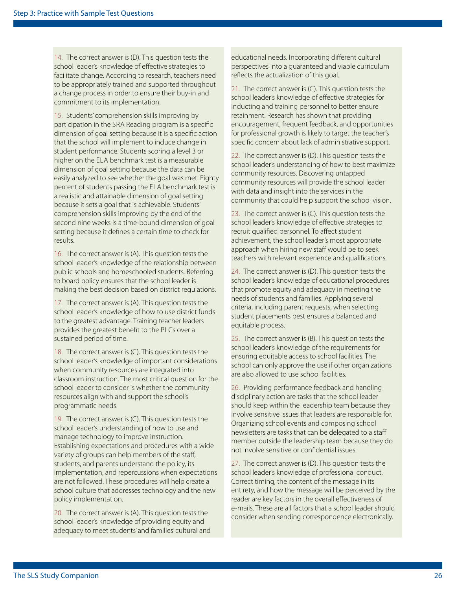14. The correct answer is (D). This question tests the school leader's knowledge of efective strategies to facilitate change. According to research, teachers need to be appropriately trained and supported throughout a change process in order to ensure their buy-in and commitment to its implementation.

 participation in the SRA Reading program is a specifc higher on the ELA benchmark test is a measurable percent of students passing the ELA benchmark test is 15. Students' comprehension skills improving by dimension of goal setting because it is a specifc action that the school will implement to induce change in student performance. Students scoring a level 3 or dimension of goal setting because the data can be easily analyzed to see whether the goal was met. Eighty a realistic and attainable dimension of goal setting because it sets a goal that is achievable. Students' comprehension skills improving by the end of the second nine weeks is a time-bound dimension of goal setting because it defnes a certain time to check for results.

16. The correct answer is (A). This question tests the school leader's knowledge of the relationship between public schools and homeschooled students. Referring to board policy ensures that the school leader is making the best decision based on district regulations.

 provides the greatest beneft to the PLCs over a 17. The correct answer is (A). This question tests the school leader's knowledge of how to use district funds to the greatest advantage. Training teacher leaders sustained period of time.

18. The correct answer is (C). This question tests the school leader's knowledge of important considerations when community resources are integrated into classroom instruction. The most critical question for the school leader to consider is whether the community resources align with and support the school's programmatic needs.

19. The correct answer is (C). This question tests the school leader's understanding of how to use and manage technology to improve instruction. Establishing expectations and procedures with a wide variety of groups can help members of the staf, students, and parents understand the policy, its implementation, and repercussions when expectations are not followed. These procedures will help create a school culture that addresses technology and the new policy implementation.

20. The correct answer is (A). This question tests the school leader's knowledge of providing equity and adequacy to meet students' and families' cultural and educational needs. Incorporating diferent cultural perspectives into a guaranteed and viable curriculum refects the actualization of this goal.

21. The correct answer is (C). This question tests the school leader's knowledge of efective strategies for inducting and training personnel to better ensure retainment. Research has shown that providing encouragement, frequent feedback, and opportunities for professional growth is likely to target the teacher's specifc concern about lack of administrative support.

22. The correct answer is (D). This question tests the school leader's understanding of how to best maximize community resources. Discovering untapped community resources will provide the school leader with data and insight into the services in the community that could help support the school vision.

23. The correct answer is (C). This question tests the school leader's knowledge of efective strategies to recruit qualifed personnel. To afect student achievement, the school leader's most appropriate approach when hiring new staff would be to seek teachers with relevant experience and qualifcations.

24. The correct answer is (D). This question tests the school leader's knowledge of educational procedures that promote equity and adequacy in meeting the needs of students and families. Applying several criteria, including parent requests, when selecting student placements best ensures a balanced and equitable process.

25. The correct answer is (B). This question tests the school leader's knowledge of the requirements for ensuring equitable access to school facilities. The school can only approve the use if other organizations are also allowed to use school facilities.

26. Providing performance feedback and handling disciplinary action are tasks that the school leader should keep within the leadership team because they involve sensitive issues that leaders are responsible for. Organizing school events and composing school newsletters are tasks that can be delegated to a staf member outside the leadership team because they do not involve sensitive or confdential issues.

27. The correct answer is (D). This question tests the school leader's knowledge of professional conduct. Correct timing, the content of the message in its entirety, and how the message will be perceived by the reader are key factors in the overall efectiveness of e-mails. These are all factors that a school leader should consider when sending correspondence electronically.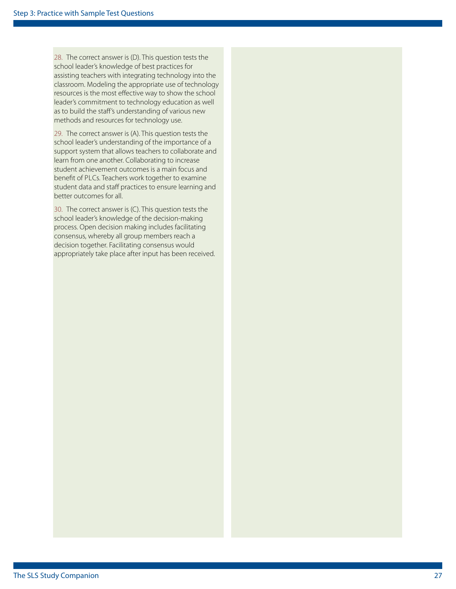28. The correct answer is (D). This question tests the school leader's knowledge of best practices for assisting teachers with integrating technology into the classroom. Modeling the appropriate use of technology resources is the most efective way to show the school leader's commitment to technology education as well as to build the staf's understanding of various new methods and resources for technology use.

 beneft of PLCs. Teachers work together to examine 29. The correct answer is (A). This question tests the school leader's understanding of the importance of a support system that allows teachers to collaborate and learn from one another. Collaborating to increase student achievement outcomes is a main focus and student data and staff practices to ensure learning and better outcomes for all.

30. The correct answer is (C). This question tests the school leader's knowledge of the decision-making process. Open decision making includes facilitating consensus, whereby all group members reach a decision together. Facilitating consensus would appropriately take place after input has been received.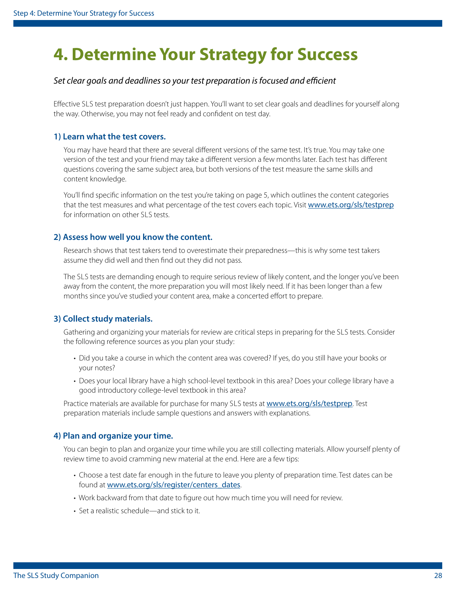## <span id="page-27-0"></span>**4. Determine Your Strategy for Success**

#### Set clear goals and deadlines so your test preparation is focused and efficient

 Efective SLS test preparation doesn't just happen. You'll want to set clear goals and deadlines for yourself along the way. Otherwise, you may not feel ready and confdent on test day.

#### **1) Learn what the test covers.**

You may have heard that there are several different versions of the same test. It's true. You may take one version of the test and your friend may take a diferent version a few months later. Each test has diferent questions covering the same subject area, but both versions of the test measure the same skills and content knowledge.

 for information on other SLS tests. You'll find specific information on the test you're taking on [page 5](#page-4-1), which outlines the content categories that the test measures and what percentage of the test covers each topic. Visit [www.ets.org/sls/testprep](http://www.ets.org/sls/testprep)

#### **2) Assess how well you know the content.**

Research shows that test takers tend to overestimate their preparedness—this is why some test takers assume they did well and then fnd out they did not pass.

 The SLS tests are demanding enough to require serious review of likely content, and the longer you've been away from the content, the more preparation you will most likely need. If it has been longer than a few months since you've studied your content area, make a concerted effort to prepare.

#### **3) Collect study materials.**

 Gathering and organizing your materials for review are critical steps in preparing for the SLS tests. Consider the following reference sources as you plan your study:

- Did you take a course in which the content area was covered? If yes, do you still have your books or your notes?
- Does your local library have a high school-level textbook in this area? Does your college library have a good introductory college-level textbook in this area?

Practice materials are available for purchase for many SLS tests at [www.ets.org/sls/testprep](http://www.ets.org/sls/testprep). Test preparation materials include sample questions and answers with explanations.

#### **4) Plan and organize your time.**

You can begin to plan and organize your time while you are still collecting materials. Allow yourself plenty of review time to avoid cramming new material at the end. Here are a few tips:

- Choose a test date far enough in the future to leave you plenty of preparation time. Test dates can be found at [www.ets.org/sls/register/centers\\_dates](http://www.ets.org/sls/register/centers_dates).
- Work backward from that date to fgure out how much time you will need for review.
- Set a realistic schedule—and stick to it.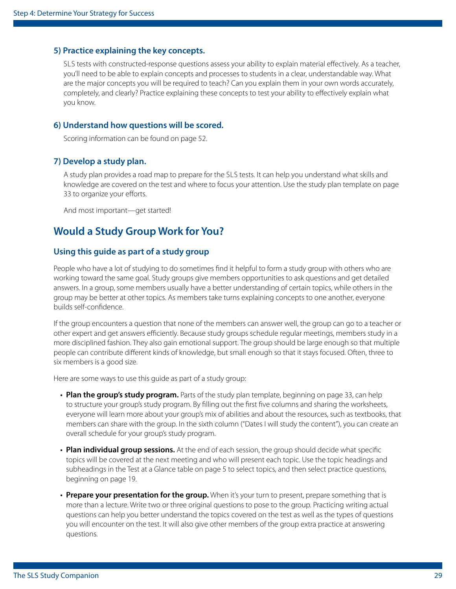#### **5) Practice explaining the key concepts.**

 SLS tests with constructed-response questions assess your ability to explain material efectively. As a teacher, you'll need to be able to explain concepts and processes to students in a clear, understandable way. What are the major concepts you will be required to teach? Can you explain them in your own words accurately, completely, and clearly? Practice explaining these concepts to test your ability to efectively explain what you know.

#### **6) Understand how questions will be scored.**

Scoring information can be found on [page 52.](#page-51-1)

#### **7) Develop a study plan.**

 A study plan provides a road map to prepare for the SLS tests. It can help you understand what skills and knowledge are covered on the test and where to focus your attention. Use the study plan template on [page](#page-32-0)  [33](#page-32-0) to organize your efforts.

And most important—get started!

### **Would a Study Group Work for You?**

#### **Using this guide as part of a study group**

People who have a lot of studying to do sometimes fnd it helpful to form a study group with others who are working toward the same goal. Study groups give members opportunities to ask questions and get detailed answers. In a group, some members usually have a better understanding of certain topics, while others in the group may be better at other topics. As members take turns explaining concepts to one another, everyone builds self-confdence.

If the group encounters a question that none of the members can answer well, the group can go to a teacher or other expert and get answers efciently. Because study groups schedule regular meetings, members study in a more disciplined fashion. They also gain emotional support. The group should be large enough so that multiple people can contribute diferent kinds of knowledge, but small enough so that it stays focused. Often, three to six members is a good size.

Here are some ways to use this guide as part of a study group:

- **Plan the group's study program.** Parts of the study plan template, beginning on [page 33](#page-32-0), can help to structure your group's study program. By flling out the frst fve columns and sharing the worksheets, everyone will learn more about your group's mix of abilities and about the resources, such as textbooks, that members can share with the group. In the sixth column ("Dates I will study the content"), you can create an overall schedule for your group's study program.
- **Plan individual group sessions.** At the end of each session, the group should decide what specifc topics will be covered at the next meeting and who will present each topic. Use the topic headings and subheadings in the Test at a Glance table on [page 5](#page-4-1) to select topics, and then select practice questions, beginning on [page 19.](#page-18-0)
- **Prepare your presentation for the group.** When it's your turn to present, prepare something that is more than a lecture. Write two or three original questions to pose to the group. Practicing writing actual questions can help you better understand the topics covered on the test as well as the types of questions you will encounter on the test. It will also give other members of the group extra practice at answering questions.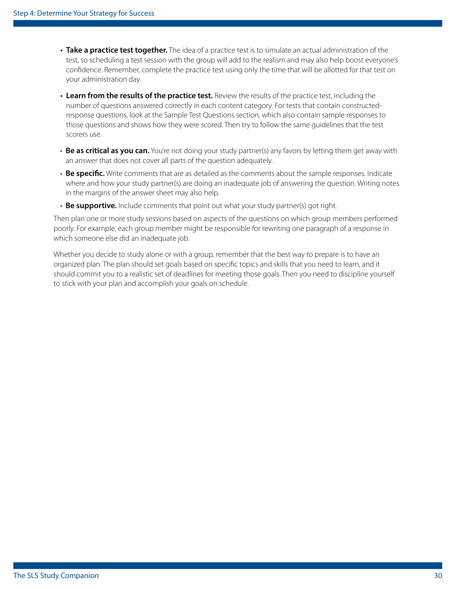- **Take a practice test together.** The idea of a practice test is to simulate an actual administration of the test, so scheduling a test session with the group will add to the realism and may also help boost everyone's confdence. Remember, complete the practice test using only the time that will be allotted for that test on your administration day.
- **Learn from the results of the practice test.** Review the results of the practice test, including the number of questions answered correctly in each content category. For tests that contain constructedresponse questions, look at the Sample Test Questions section, which also contain sample responses to those questions and shows how they were scored. Then try to follow the same guidelines that the test scorers use.
- **Be as critical as you can.** You're not doing your study partner(s) any favors by letting them get away with an answer that does not cover all parts of the question adequately.
- • **Be specifc.** Write comments that are as detailed as the comments about the sample responses. Indicate where and how your study partner(s) are doing an inadequate job of answering the question. Writing notes in the margins of the answer sheet may also help.
- **Be supportive.** Include comments that point out what your study partner(s) got right.

Then plan one or more study sessions based on aspects of the questions on which group members performed poorly. For example, each group member might be responsible for rewriting one paragraph of a response in which someone else did an inadequate job.

Whether you decide to study alone or with a group, remember that the best way to prepare is to have an organized plan. The plan should set goals based on specifc topics and skills that you need to learn, and it should commit you to a realistic set of deadlines for meeting those goals. Then you need to discipline yourself to stick with your plan and accomplish your goals on schedule.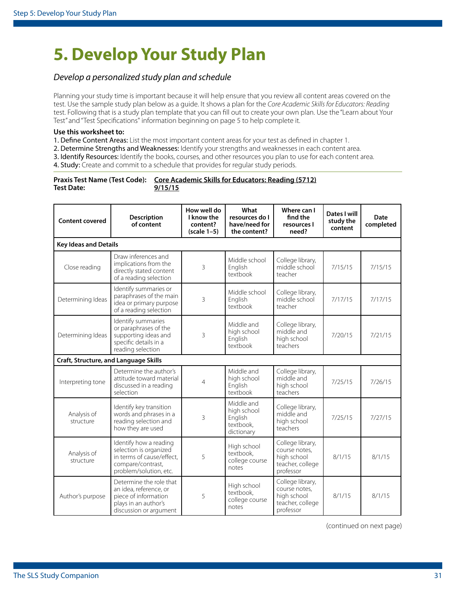## <span id="page-30-0"></span>**5. Develop Your Study Plan**

#### *Develop a personalized study plan and schedule*

Planning your study time is important because it will help ensure that you review all content areas covered on the test. Use the sample study plan below as a guide. It shows a plan for the *Core Academic Skills for Educators: Reading*  test. Following that is a study plan template that you can fll out to create your own plan. Use the "Learn about Your Test" and "Test Specifcations" information beginning on [page 5](#page-4-1) to help complete it.

#### **Use this worksheet to:**

1. Define Content Areas: List the most important content areas for your test as defined in chapter 1.

2. Determine Strengths and Weaknesses: Identify your strengths and weaknesses in each content area.

3. Identify Resources: Identify the books, courses, and other resources you plan to use for each content area.

4. Study: Create and commit to a schedule that provides for regular study periods.

|                   | Praxis Test Name (Test Code): Core Academic Skills for Educators: Reading (5712) |
|-------------------|----------------------------------------------------------------------------------|
| <b>Test Date:</b> | 9/15/15                                                                          |

| <b>Content covered</b>                       | Description<br>of content                                                                                                    | How well do<br>I know the<br>content?<br>$(scale 1-5)$ | What<br>resources do I<br>have/need for<br>the content?         | Where can I<br>find the<br>resources I<br>need?                                   | Dates I will<br>study the<br>content | Date<br>completed |
|----------------------------------------------|------------------------------------------------------------------------------------------------------------------------------|--------------------------------------------------------|-----------------------------------------------------------------|-----------------------------------------------------------------------------------|--------------------------------------|-------------------|
| <b>Key Ideas and Details</b>                 |                                                                                                                              |                                                        |                                                                 |                                                                                   |                                      |                   |
| Close reading                                | Draw inferences and<br>implications from the<br>directly stated content<br>of a reading selection                            | 3                                                      | Middle school<br>English<br>textbook                            | College library,<br>middle school<br>teacher                                      | 7/15/15                              | 7/15/15           |
| Determining Ideas                            | Identify summaries or<br>paraphrases of the main<br>idea or primary purpose<br>of a reading selection                        | 3                                                      | Middle school<br>English<br>textbook                            | College library,<br>middle school<br>teacher                                      | 7/17/15                              | 7/17/15           |
| Determining Ideas                            | Identify summaries<br>or paraphrases of the<br>supporting ideas and<br>specific details in a<br>reading selection            | 3                                                      | Middle and<br>high school<br>English<br>textbook                | College library,<br>middle and<br>high school<br>teachers                         | 7/20/15                              | 7/21/15           |
| <b>Craft, Structure, and Language Skills</b> |                                                                                                                              |                                                        |                                                                 |                                                                                   |                                      |                   |
| Interpreting tone                            | Determine the author's<br>attitude toward material<br>discussed in a reading<br>selection                                    | 4                                                      | Middle and<br>high school<br>English<br>textbook                | College library,<br>middle and<br>high school<br>teachers                         | 7/25/15                              | 7/26/15           |
| Analysis of<br>structure                     | Identify key transition<br>words and phrases in a<br>reading selection and<br>how they are used                              | 3                                                      | Middle and<br>high school<br>English<br>textbook.<br>dictionary | College library,<br>middle and<br>high school<br>teachers                         | 7/25/15                              | 7/27/15           |
| Analysis of<br>structure                     | Identify how a reading<br>selection is organized<br>in terms of cause/effect,<br>compare/contrast,<br>problem/solution, etc. | 5                                                      | High school<br>textbook.<br>college course<br>notes             | College library,<br>course notes.<br>high school<br>teacher, college<br>professor | 8/1/15                               | 8/1/15            |
| Author's purpose                             | Determine the role that<br>an idea, reference, or<br>piece of information<br>plays in an author's<br>discussion or argument  | 5                                                      | High school<br>textbook,<br>college course<br>notes             | College library,<br>course notes,<br>high school<br>teacher, college<br>professor | 8/1/15                               | 8/1/15            |

(continued on next page)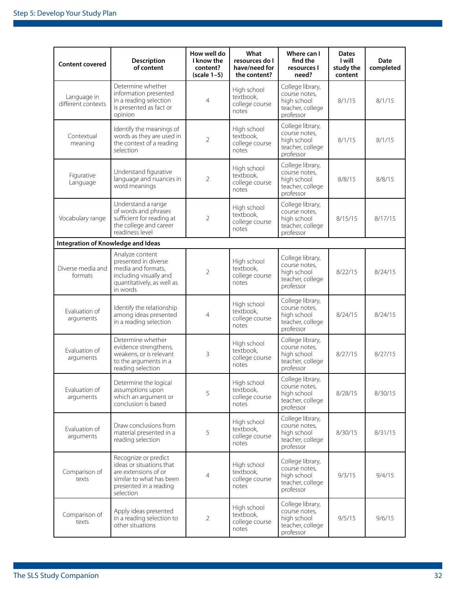| <b>Content covered</b>             | <b>Description</b><br>of content                                                                                                            | How well do<br>I know the<br>content?<br>$(scale 1-5)$ | What<br>resources do I<br>have/need for<br>the content? | Where can I<br>find the<br>resources I<br>need?                                   | <b>Dates</b><br>l will<br>study the<br>content | Date<br>completed |
|------------------------------------|---------------------------------------------------------------------------------------------------------------------------------------------|--------------------------------------------------------|---------------------------------------------------------|-----------------------------------------------------------------------------------|------------------------------------------------|-------------------|
| Language in<br>different contexts  | Determine whether<br>information presented<br>in a reading selection<br>is presented as fact or<br>opinion                                  | 4                                                      | High school<br>textbook,<br>college course<br>notes     | College library,<br>course notes,<br>high school<br>teacher, college<br>professor | 8/1/15                                         | 8/1/15            |
| Contextual<br>meaning              | Identify the meanings of<br>words as they are used in<br>the context of a reading<br>selection                                              | $\overline{2}$                                         | High school<br>textbook,<br>college course<br>notes     | College library,<br>course notes,<br>high school<br>teacher, college<br>professor | 8/1/15                                         | 8/1/15            |
| Figurative<br>Language             | Understand figurative<br>language and nuances in<br>word meanings                                                                           | $\overline{2}$                                         | High school<br>textbook,<br>college course<br>notes     | College library,<br>course notes,<br>high school<br>teacher, college<br>professor | 8/8/15                                         | 8/8/15            |
| Vocabulary range                   | Understand a range<br>of words and phrases<br>sufficient for reading at<br>the college and career<br>readiness level                        | $\overline{2}$                                         | High school<br>textbook,<br>college course<br>notes     | College library,<br>course notes.<br>high school<br>teacher, college<br>professor | 8/15/15                                        | 8/17/15           |
| Integration of Knowledge and Ideas |                                                                                                                                             |                                                        |                                                         |                                                                                   |                                                |                   |
| Diverse media and<br>formats       | Analyze content<br>presented in diverse<br>media and formats,<br>including visually and<br>quantitatively, as well as<br>in words           | $\overline{2}$                                         | High school<br>textbook,<br>college course<br>notes     | College library,<br>course notes,<br>high school<br>teacher, college<br>professor | 8/22/15                                        | 8/24/15           |
| Evaluation of<br>arguments         | Identify the relationship<br>among ideas presented<br>in a reading selection                                                                | 4                                                      | High school<br>textbook,<br>college course<br>notes     | College library,<br>course notes,<br>high school<br>teacher, college<br>professor | 8/24/15                                        | 8/24/15           |
| Evaluation of<br>arguments         | Determine whether<br>evidence strengthens,<br>weakens, or is relevant<br>to the arguments in a<br>reading selection                         | 3                                                      | High school<br>textbook,<br>college course<br>notes     | College library,<br>course notes,<br>high school<br>teacher, college<br>professor | 8/27/15                                        | 8/27/15           |
| Evaluation of<br>arguments         | Determine the logical<br>assumptions upon<br>which an argument or<br>conclusion is based                                                    | 5                                                      | High school<br>textbook,<br>college course<br>notes     | College library,<br>course notes,<br>high school<br>teacher, college<br>professor | 8/28/15                                        | 8/30/15           |
| Evaluation of<br>arguments         | Draw conclusions from<br>material presented in a<br>reading selection                                                                       | 5                                                      | High school<br>textbook,<br>college course<br>notes     | College library,<br>course notes,<br>high school<br>teacher, college<br>professor | 8/30/15                                        | 8/31/15           |
| Comparison of<br>texts             | Recognize or predict<br>ideas or situations that<br>are extensions of or<br>similar to what has been<br>presented in a reading<br>selection | 4                                                      | High school<br>textbook,<br>college course<br>notes     | College library,<br>course notes,<br>high school<br>teacher, college<br>professor | 9/3/15                                         | 9/4/15            |
| Comparison of<br>texts             | Apply ideas presented<br>in a reading selection to<br>other situations                                                                      | 2                                                      | High school<br>textbook,<br>college course<br>notes     | College library,<br>course notes,<br>high school<br>teacher, college<br>professor | 9/5/15                                         | 9/6/15            |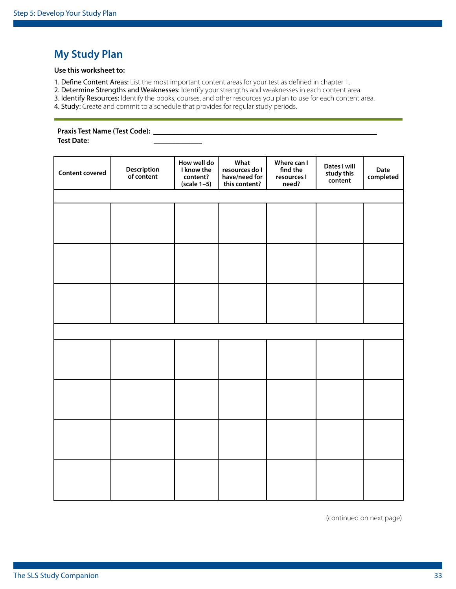### <span id="page-32-0"></span>**My Study Plan**

#### **Use this worksheet to:**

1. Define Content Areas: List the most important content areas for your test as defined in chapter 1.

2. Determine Strengths and Weaknesses: Identify your strengths and weaknesses in each content area.

3. Identify Resources: Identify the books, courses, and other resources you plan to use for each content area.

4. Study: Create and commit to a schedule that provides for regular study periods.

#### **Praxis Test Name (Test Code):** \_\_\_\_\_\_\_\_\_\_\_\_\_\_\_\_\_\_\_\_\_\_\_\_\_\_\_\_\_\_\_\_\_\_\_\_\_\_\_\_\_\_\_\_\_\_\_\_\_\_\_\_\_\_\_\_\_\_\_\_

**Test Date:** \_\_\_\_\_\_\_\_\_\_\_\_\_

| <b>Content covered</b> | <b>Description</b><br>of content | How well do<br>I know the<br>content?<br>$(scale 1-5)$ | What<br>resources do I<br>have/need for<br>this content? | Where can I<br>find the<br>resources I<br>need? | Dates I will<br>study this<br>content | Date<br>completed |
|------------------------|----------------------------------|--------------------------------------------------------|----------------------------------------------------------|-------------------------------------------------|---------------------------------------|-------------------|
|                        |                                  |                                                        |                                                          |                                                 |                                       |                   |
|                        |                                  |                                                        |                                                          |                                                 |                                       |                   |
|                        |                                  |                                                        |                                                          |                                                 |                                       |                   |
|                        |                                  |                                                        |                                                          |                                                 |                                       |                   |
|                        |                                  |                                                        |                                                          |                                                 |                                       |                   |
|                        |                                  |                                                        |                                                          |                                                 |                                       |                   |
|                        |                                  |                                                        |                                                          |                                                 |                                       |                   |
|                        |                                  |                                                        |                                                          |                                                 |                                       |                   |
|                        |                                  |                                                        |                                                          |                                                 |                                       |                   |
|                        |                                  |                                                        |                                                          |                                                 |                                       |                   |
|                        |                                  |                                                        |                                                          |                                                 |                                       |                   |
|                        |                                  |                                                        |                                                          |                                                 |                                       |                   |
|                        |                                  |                                                        |                                                          |                                                 |                                       |                   |
|                        |                                  |                                                        |                                                          |                                                 |                                       |                   |
|                        |                                  |                                                        |                                                          |                                                 |                                       |                   |
|                        |                                  |                                                        |                                                          |                                                 |                                       |                   |

(continued on next page)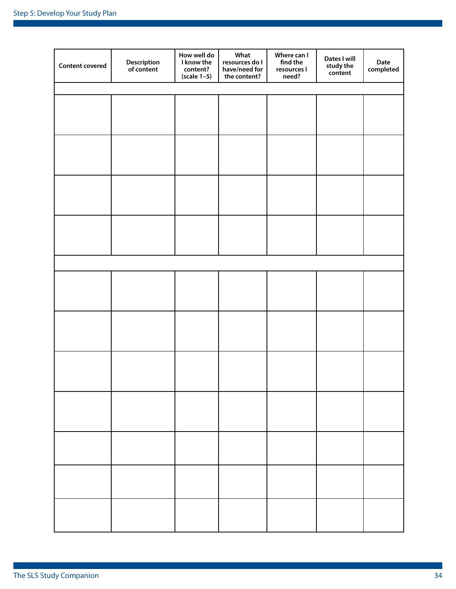| <b>Content covered</b> | <b>Description</b><br>of content | How well do<br>I know the<br>content?<br>$(scale 1-5)$ | What<br>resources do I<br>have/need for<br>the content? | Where can I<br>find the<br>resources I<br>need? | Dates I will<br>study the<br>content | Date<br>completed |
|------------------------|----------------------------------|--------------------------------------------------------|---------------------------------------------------------|-------------------------------------------------|--------------------------------------|-------------------|
|                        |                                  |                                                        |                                                         |                                                 |                                      |                   |
|                        |                                  |                                                        |                                                         |                                                 |                                      |                   |
|                        |                                  |                                                        |                                                         |                                                 |                                      |                   |
|                        |                                  |                                                        |                                                         |                                                 |                                      |                   |
|                        |                                  |                                                        |                                                         |                                                 |                                      |                   |
|                        |                                  |                                                        |                                                         |                                                 |                                      |                   |
|                        |                                  |                                                        |                                                         |                                                 |                                      |                   |
|                        |                                  |                                                        |                                                         |                                                 |                                      |                   |
|                        |                                  |                                                        |                                                         |                                                 |                                      |                   |
|                        |                                  |                                                        |                                                         |                                                 |                                      |                   |
|                        |                                  |                                                        |                                                         |                                                 |                                      |                   |
|                        |                                  |                                                        |                                                         |                                                 |                                      |                   |
|                        |                                  |                                                        |                                                         |                                                 |                                      |                   |
|                        |                                  |                                                        |                                                         |                                                 |                                      |                   |
|                        |                                  |                                                        |                                                         |                                                 |                                      |                   |
|                        |                                  |                                                        |                                                         |                                                 |                                      |                   |
|                        |                                  |                                                        |                                                         |                                                 |                                      |                   |
|                        |                                  |                                                        |                                                         |                                                 |                                      |                   |
|                        |                                  |                                                        |                                                         |                                                 |                                      |                   |
|                        |                                  |                                                        |                                                         |                                                 |                                      |                   |
|                        |                                  |                                                        |                                                         |                                                 |                                      |                   |
|                        |                                  |                                                        |                                                         |                                                 |                                      |                   |
|                        |                                  |                                                        |                                                         |                                                 |                                      |                   |
|                        |                                  |                                                        |                                                         |                                                 |                                      |                   |
|                        |                                  |                                                        |                                                         |                                                 |                                      |                   |
|                        |                                  |                                                        |                                                         |                                                 |                                      |                   |
|                        |                                  |                                                        |                                                         |                                                 |                                      |                   |
|                        |                                  |                                                        |                                                         |                                                 |                                      |                   |
|                        |                                  |                                                        |                                                         |                                                 |                                      |                   |
|                        |                                  |                                                        |                                                         |                                                 |                                      |                   |
|                        |                                  |                                                        |                                                         |                                                 |                                      |                   |
|                        |                                  |                                                        |                                                         |                                                 |                                      |                   |
|                        |                                  |                                                        |                                                         |                                                 |                                      |                   |
|                        |                                  |                                                        |                                                         |                                                 |                                      |                   |
|                        |                                  |                                                        |                                                         |                                                 |                                      |                   |
|                        |                                  |                                                        |                                                         |                                                 |                                      |                   |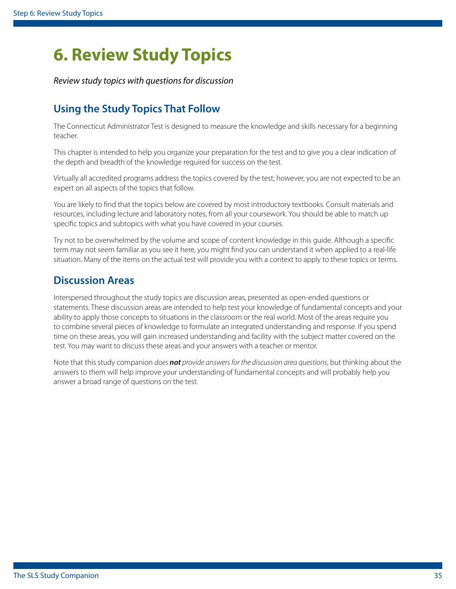## <span id="page-34-1"></span><span id="page-34-0"></span>**6. Review Study Topics**

*Review study topics with questions for discussion* 

## **Using the Study Topics That Follow**

The Connecticut Administrator Test is designed to measure the knowledge and skills necessary for a beginning teacher.

This chapter is intended to help you organize your preparation for the test and to give you a clear indication of the depth and breadth of the knowledge required for success on the test.

Virtually all accredited programs address the topics covered by the test; however, you are not expected to be an expert on all aspects of the topics that follow.

You are likely to fnd that the topics below are covered by most introductory textbooks. Consult materials and resources, including lecture and laboratory notes, from all your coursework. You should be able to match up specifc topics and subtopics with what you have covered in your courses.

Try not to be overwhelmed by the volume and scope of content knowledge in this guide. Although a specifc term may not seem familiar as you see it here, you might fnd you can understand it when applied to a real-life situation. Many of the items on the actual test will provide you with a context to apply to these topics or terms.

### **Discussion Areas**

Interspersed throughout the study topics are discussion areas, presented as open-ended questions or statements. These discussion areas are intended to help test your knowledge of fundamental concepts and your ability to apply those concepts to situations in the classroom or the real world. Most of the areas require you to combine several pieces of knowledge to formulate an integrated understanding and response. If you spend time on these areas, you will gain increased understanding and facility with the subject matter covered on the test. You may want to discuss these areas and your answers with a teacher or mentor.

Note that this study companion *does not provide answers for the discussion area questions*, but thinking about the answers to them will help improve your understanding of fundamental concepts and will probably help you answer a broad range of questions on the test.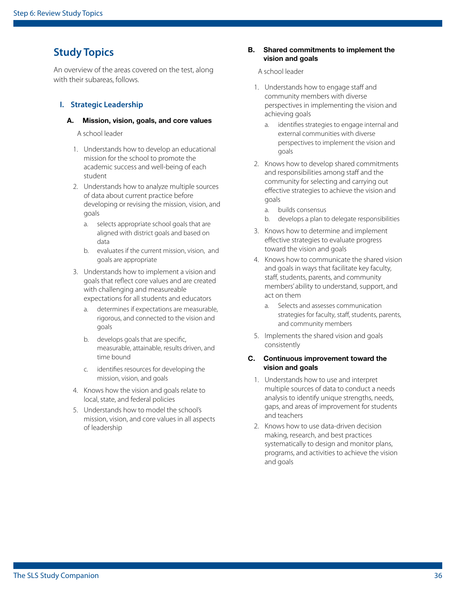### **Study Topics**

An overview of the areas covered on the test, along with their subareas, follows.

#### **I. Strategic Leadership**

#### A. Mission, vision, goals, and core values

A school leader

- 1. Understands how to develop an educational mission for the school to promote the academic success and well-being of each student
- 2. Understands how to analyze multiple sources of data about current practice before developing or revising the mission, vision, and goals
	- a. selects appropriate school goals that are aligned with district goals and based on data
	- b. evaluates if the current mission, vision, and goals are appropriate
- 3. Understands how to implement a vision and goals that refect core values and are created with challenging and measureable expectations for all students and educators
	- a. determines if expectations are measurable, rigorous, and connected to the vision and goals
	- b. develops goals that are specifc, measurable, attainable, results driven, and time bound
	- c. identifes resources for developing the mission, vision, and goals
- 4. Knows how the vision and goals relate to local, state, and federal policies
- 5. Understands how to model the school's mission, vision, and core values in all aspects of leadership

#### B. Shared commitments to implement the vision and goals

#### A school leader

- 1. Understands how to engage staff and community members with diverse perspectives in implementing the vision and achieving goals
	- a. identifes strategies to engage internal and external communities with diverse perspectives to implement the vision and goals
- 2. Knows how to develop shared commitments and responsibilities among staff and the community for selecting and carrying out efective strategies to achieve the vision and goals
	- a. builds consensus
	- b. develops a plan to delegate responsibilities
- 3. Knows how to determine and implement efective strategies to evaluate progress toward the vision and goals
- 4. Knows how to communicate the shared vision and goals in ways that facilitate key faculty, staff, students, parents, and community members' ability to understand, support, and act on them
	- a. Selects and assesses communication strategies for faculty, staff, students, parents, and community members
- 5. Implements the shared vision and goals consistently

#### C. Continuous improvement toward the vision and goals

- 1. Understands how to use and interpret multiple sources of data to conduct a needs analysis to identify unique strengths, needs, gaps, and areas of improvement for students and teachers
- 2. Knows how to use data-driven decision making, research, and best practices systematically to design and monitor plans, programs, and activities to achieve the vision and goals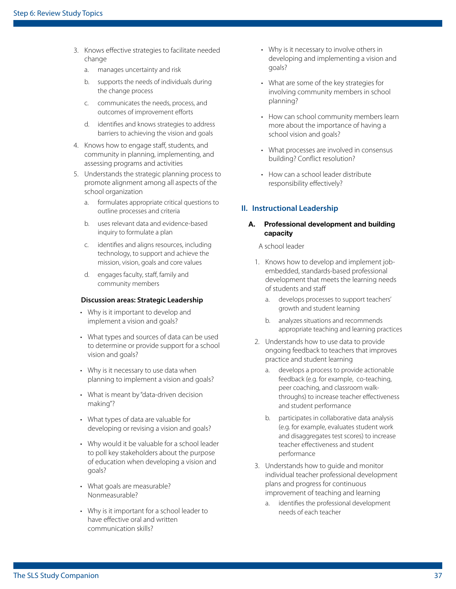- 3. Knows efective strategies to facilitate needed change
	- a. manages uncertainty and risk
	- b. supports the needs of individuals during the change process
	- c. communicates the needs, process, and outcomes of improvement efforts
	- d. identifes and knows strategies to address barriers to achieving the vision and goals
- 4. Knows how to engage staf, students, and community in planning, implementing, and assessing programs and activities
- 5. Understands the strategic planning process to promote alignment among all aspects of the school organization
	- a. formulates appropriate critical questions to outline processes and criteria
	- b. uses relevant data and evidence-based inquiry to formulate a plan
	- c. identifes and aligns resources, including technology, to support and achieve the mission, vision, goals and core values
	- d. engages faculty, staff, family and community members

#### **Discussion areas: Strategic Leadership**

- Why is it important to develop and implement a vision and goals?
- What types and sources of data can be used to determine or provide support for a school vision and goals?
- Why is it necessary to use data when planning to implement a vision and goals?
- What is meant by "data-driven decision making"?
- What types of data are valuable for developing or revising a vision and goals?
- Why would it be valuable for a school leader to poll key stakeholders about the purpose of education when developing a vision and goals?
- What goals are measurable? Nonmeasurable?
- Why is it important for a school leader to have effective oral and written communication skills?
- Why is it necessary to involve others in developing and implementing a vision and goals?
- What are some of the key strategies for involving community members in school planning?
- How can school community members learn more about the importance of having a school vision and goals?
- What processes are involved in consensus building? Confict resolution?
- How can a school leader distribute responsibility effectively?

#### **II. Instructional Leadership**

#### A. Professional development and building capacity

- 1. Knows how to develop and implement jobembedded, standards-based professional development that meets the learning needs of students and staf
	- a. develops processes to support teachers' growth and student learning
	- b. analyzes situations and recommends appropriate teaching and learning practices
- 2. Understands how to use data to provide ongoing feedback to teachers that improves practice and student learning
	- a. develops a process to provide actionable feedback (e.g. for example, co-teaching, peer coaching, and classroom walkthroughs) to increase teacher effectiveness and student performance
	- b. participates in collaborative data analysis (e.g. for example, evaluates student work and disaggregates test scores) to increase teacher efectiveness and student performance
- 3. Understands how to guide and monitor individual teacher professional development plans and progress for continuous improvement of teaching and learning
	- a. identifes the professional development needs of each teacher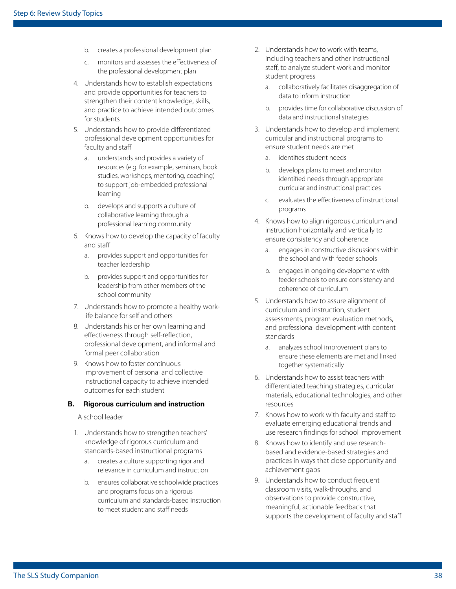- b. creates a professional development plan
- c. monitors and assesses the efectiveness of the professional development plan
- 4. Understands how to establish expectations and provide opportunities for teachers to strengthen their content knowledge, skills, and practice to achieve intended outcomes for students
- 5. Understands how to provide diferentiated professional development opportunities for faculty and staff
	- a. understands and provides a variety of resources (e.g. for example, seminars, book studies, workshops, mentoring, coaching) to support job-embedded professional learning
	- b. develops and supports a culture of collaborative learning through a professional learning community
- 6. Knows how to develop the capacity of faculty and staf
	- a. provides support and opportunities for teacher leadership
	- b. provides support and opportunities for leadership from other members of the school community
- 7. Understands how to promote a healthy worklife balance for self and others
- 8. Understands his or her own learning and efectiveness through self-refection, professional development, and informal and formal peer collaboration
- 9. Knows how to foster continuous improvement of personal and collective instructional capacity to achieve intended outcomes for each student

#### B. Rigorous curriculum and instruction

- 1. Understands how to strengthen teachers' knowledge of rigorous curriculum and standards-based instructional programs
	- a. creates a culture supporting rigor and relevance in curriculum and instruction
	- b. ensures collaborative schoolwide practices and programs focus on a rigorous curriculum and standards-based instruction to meet student and staff needs
- 2. Understands how to work with teams, including teachers and other instructional staff, to analyze student work and monitor student progress
	- a. collaboratively facilitates disaggregation of data to inform instruction
	- b. provides time for collaborative discussion of data and instructional strategies
- 3. Understands how to develop and implement curricular and instructional programs to ensure student needs are met
	- a. identifes student needs
	- b. develops plans to meet and monitor identifed needs through appropriate curricular and instructional practices
	- c. evaluates the efectiveness of instructional programs
- 4. Knows how to align rigorous curriculum and instruction horizontally and vertically to ensure consistency and coherence
	- a. engages in constructive discussions within the school and with feeder schools
	- b. engages in ongoing development with feeder schools to ensure consistency and coherence of curriculum
- 5. Understands how to assure alignment of curriculum and instruction, student assessments, program evaluation methods, and professional development with content standards
	- a. analyzes school improvement plans to ensure these elements are met and linked together systematically
- 6. Understands how to assist teachers with diferentiated teaching strategies, curricular materials, educational technologies, and other resources
- 7. Knows how to work with faculty and staff to evaluate emerging educational trends and use research fndings for school improvement
- 8. Knows how to identify and use researchbased and evidence-based strategies and practices in ways that close opportunity and achievement gaps
- 9. Understands how to conduct frequent classroom visits, walk-throughs, and observations to provide constructive, meaningful, actionable feedback that supports the development of faculty and staff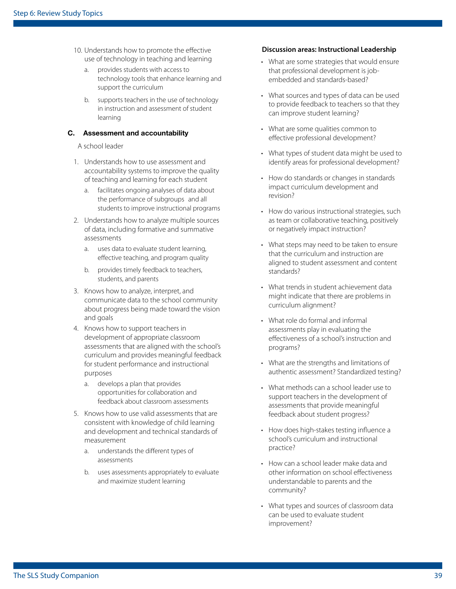- use of technology in teaching and learning
	- a. provides students with access to technology tools that enhance learning and support the curriculum
	- b. supports teachers in the use of technology in instruction and assessment of student learning

#### C. Assessment and accountability

A school leader

- 1. Understands how to use assessment and accountability systems to improve the quality of teaching and learning for each student
	- a. facilitates ongoing analyses of data about the performance of subgroups and all students to improve instructional programs
- 2. Understands how to analyze multiple sources of data, including formative and summative assessments
	- a. uses data to evaluate student learning, efective teaching, and program quality
	- b. provides timely feedback to teachers, students, and parents
- 3. Knows how to analyze, interpret, and communicate data to the school community about progress being made toward the vision and goals
- 4. Knows how to support teachers in development of appropriate classroom assessments that are aligned with the school's curriculum and provides meaningful feedback for student performance and instructional purposes
	- a. develops a plan that provides opportunities for collaboration and feedback about classroom assessments
- 5. Knows how to use valid assessments that are consistent with knowledge of child learning and development and technical standards of measurement
	- a. understands the diferent types of assessments
	- b. uses assessments appropriately to evaluate and maximize student learning

#### 10. Understands how to promote the efective **Discussion areas: Instructional Leadership**

- What are some strategies that would ensure that professional development is jobembedded and standards-based?
- What sources and types of data can be used to provide feedback to teachers so that they can improve student learning?
- What are some qualities common to effective professional development?
- What types of student data might be used to identify areas for professional development?
- How do standards or changes in standards impact curriculum development and revision?
- How do various instructional strategies, such as team or collaborative teaching, positively or negatively impact instruction?
- What steps may need to be taken to ensure that the curriculum and instruction are aligned to student assessment and content standards?
- What trends in student achievement data might indicate that there are problems in curriculum alignment?
- What role do formal and informal assessments play in evaluating the efectiveness of a school's instruction and programs?
- What are the strengths and limitations of authentic assessment? Standardized testing?
- What methods can a school leader use to support teachers in the development of assessments that provide meaningful feedback about student progress?
- How does high-stakes testing influence a school's curriculum and instructional practice?
- How can a school leader make data and other information on school efectiveness understandable to parents and the community?
- What types and sources of classroom data can be used to evaluate student improvement?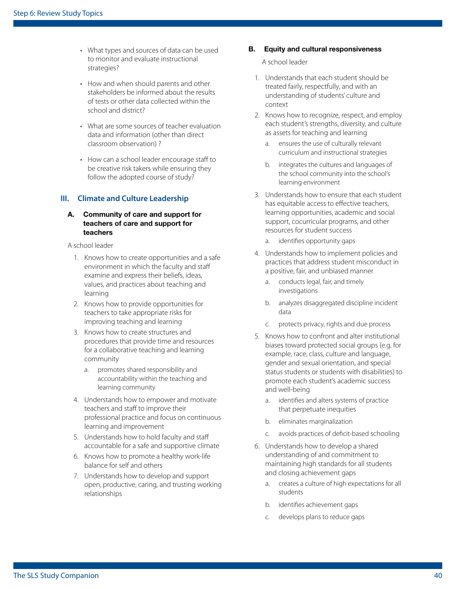- What types and sources of data can be used to monitor and evaluate instructional strategies?
- How and when should parents and other stakeholders be informed about the results of tests or other data collected within the school and district?
- What are some sources of teacher evaluation data and information (other than direct classroom observation) ?
- How can a school leader encourage staff to be creative risk takers while ensuring they follow the adopted course of study?

#### **III. Climate and Culture Leadership**

#### A. Community of care and support for teachers of care and support for teachers

A school leader

- 1. Knows how to create opportunities and a safe environment in which the faculty and staff examine and express their beliefs, ideas, values, and practices about teaching and learning
- 2. Knows how to provide opportunities for teachers to take appropriate risks for improving teaching and learning
- 3. Knows how to create structures and procedures that provide time and resources for a collaborative teaching and learning community
	- a. promotes shared responsibility and accountability within the teaching and learning community
- 4. Understands how to empower and motivate teachers and staff to improve their professional practice and focus on continuous learning and improvement
- 5. Understands how to hold faculty and staff accountable for a safe and supportive climate
- 6. Knows how to promote a healthy work-life balance for self and others
- 7. Understands how to develop and support open, productive, caring, and trusting working relationships

#### B. Equity and cultural responsiveness

- 1. Understands that each student should be treated fairly, respectfully, and with an understanding of students' culture and context
- 2. Knows how to recognize, respect, and employ each student's strengths, diversity, and culture as assets for teaching and learning
	- a. ensures the use of culturally relevant curriculum and instructional strategies
	- b. integrates the cultures and languages of the school community into the school's learning environment
- 3. Understands how to ensure that each student has equitable access to efective teachers, learning opportunities, academic and social support, cocurricular programs, and other resources for student success
	- a. identifes opportunity gaps
- 4. Understands how to implement policies and practices that address student misconduct in a positive, fair, and unbiased manner
	- a. conducts legal, fair, and timely investigations
	- b. analyzes disaggregated discipline incident data
	- c. protects privacy, rights and due process
- 5. Knows how to confront and alter institutional biases toward protected social groups (e.g. for example, race, class, culture and language, gender and sexual orientation, and special status students or students with disabilities) to promote each student's academic success and well-being
	- a. identifes and alters systems of practice that perpetuate inequities
	- b. eliminates marginalization
	- c. avoids practices of defcit-based schooling
- 6. Understands how to develop a shared understanding of and commitment to maintaining high standards for all students and closing achievement gaps
	- a. creates a culture of high expectations for all students
	- b. identifes achievement gaps
	- c. develops plans to reduce gaps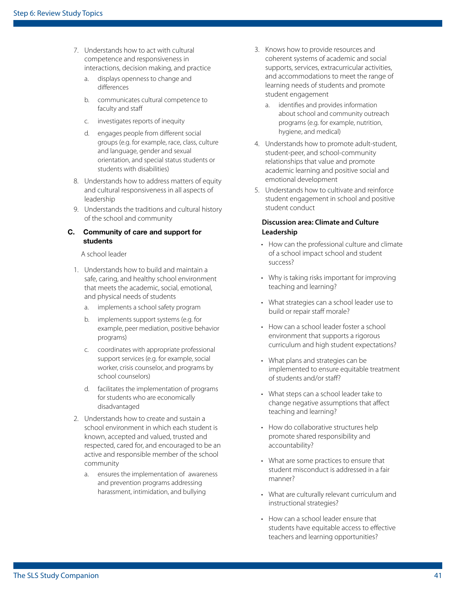- 7. Understands how to act with cultural competence and responsiveness in interactions, decision making, and practice
	- a. displays openness to change and diferences
	- b. communicates cultural competence to faculty and staff
	- c. investigates reports of inequity
	- d. engages people from diferent social groups (e.g. for example, race, class, culture and language, gender and sexual orientation, and special status students or students with disabilities)
- 8. Understands how to address matters of equity and cultural responsiveness in all aspects of leadership
- 9. Understands the traditions and cultural history of the school and community

#### C. Community of care and support for students

A school leader

- 1. Understands how to build and maintain a safe, caring, and healthy school environment that meets the academic, social, emotional, and physical needs of students
	- a. implements a school safety program
	- b. implements support systems (e.g. for example, peer mediation, positive behavior programs)
	- c. coordinates with appropriate professional support services (e.g. for example, social worker, crisis counselor, and programs by school counselors)
	- d. facilitates the implementation of programs for students who are economically disadvantaged
- 2. Understands how to create and sustain a school environment in which each student is known, accepted and valued, trusted and respected, cared for, and encouraged to be an active and responsible member of the school community
	- a. ensures the implementation of awareness and prevention programs addressing harassment, intimidation, and bullying
- 3. Knows how to provide resources and coherent systems of academic and social supports, services, extracurricular activities, and accommodations to meet the range of learning needs of students and promote student engagement
	- a. identifes and provides information about school and community outreach programs (e.g. for example, nutrition, hygiene, and medical)
- 4. Understands how to promote adult-student, student-peer, and school-community relationships that value and promote academic learning and positive social and emotional development
- 5. Understands how to cultivate and reinforce student engagement in school and positive student conduct

#### **Discussion area: Climate and Culture Leadership**

- How can the professional culture and climate of a school impact school and student success?
- Why is taking risks important for improving teaching and learning?
- What strategies can a school leader use to build or repair staff morale?
- How can a school leader foster a school environment that supports a rigorous curriculum and high student expectations?
- What plans and strategies can be implemented to ensure equitable treatment of students and/or staf?
- What steps can a school leader take to change negative assumptions that afect teaching and learning?
- How do collaborative structures help promote shared responsibility and accountability?
- What are some practices to ensure that student misconduct is addressed in a fair manner?
- What are culturally relevant curriculum and instructional strategies?
- How can a school leader ensure that students have equitable access to efective teachers and learning opportunities?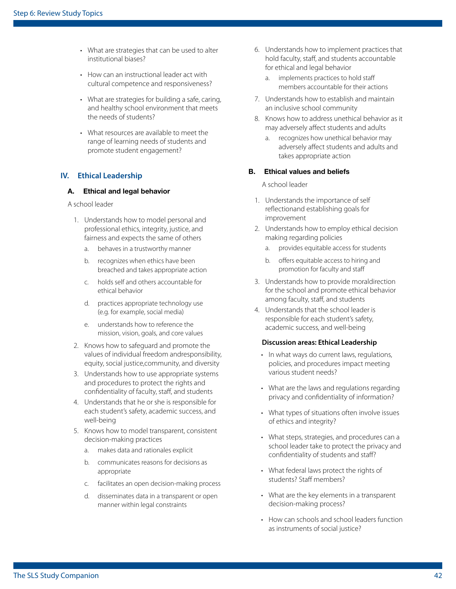- What are strategies that can be used to alter institutional biases?
- How can an instructional leader act with cultural competence and responsiveness?
- What are strategies for building a safe, caring, and healthy school environment that meets the needs of students?
- What resources are available to meet the range of learning needs of students and promote student engagement?

#### **IV. Ethical Leadership**

#### A. Ethical and legal behavior

A school leader

- 1. Understands how to model personal and professional ethics, integrity, justice, and fairness and expects the same of others
	- a. behaves in a trustworthy manner
	- b. recognizes when ethics have been breached and takes appropriate action
	- c. holds self and others accountable for ethical behavior
	- d. practices appropriate technology use (e.g. for example, social media)
	- e. understands how to reference the mission, vision, goals, and core values
- 2. Knows how to safeguard and promote the values of individual freedom andresponsibility, equity, social justice,community, and diversity
- 3. Understands how to use appropriate systems and procedures to protect the rights and confidentiality of faculty, staff, and students
- 4. Understands that he or she is responsible for each student's safety, academic success, and well-being
- 5. Knows how to model transparent, consistent decision-making practices
	- a. makes data and rationales explicit
	- b. communicates reasons for decisions as appropriate
	- c. facilitates an open decision-making process
	- d. disseminates data in a transparent or open manner within legal constraints
- 6. Understands how to implement practices that hold faculty, staff, and students accountable for ethical and legal behavior
	- a. implements practices to hold staff members accountable for their actions
- 7. Understands how to establish and maintain an inclusive school community
- 8. Knows how to address unethical behavior as it may adversely afect students and adults
	- a. recognizes how unethical behavior may adversely affect students and adults and takes appropriate action

#### B. Ethical values and beliefs

A school leader

- 1. Understands the importance of self refectionand establishing goals for improvement
- 2. Understands how to employ ethical decision making regarding policies
	- a. provides equitable access for students
	- b. offers equitable access to hiring and promotion for faculty and staf
- 3. Understands how to provide moraldirection for the school and promote ethical behavior among faculty, staff, and students
- 4. Understands that the school leader is responsible for each student's safety, academic success, and well-being

#### **Discussion areas: Ethical Leadership**

- In what ways do current laws, regulations, policies, and procedures impact meeting various student needs?
- What are the laws and regulations regarding privacy and confdentiality of information?
- What types of situations often involve issues of ethics and integrity?
- What steps, strategies, and procedures can a school leader take to protect the privacy and confdentiality of students and staf?
- What federal laws protect the rights of students? Staff members?
- What are the key elements in a transparent decision-making process?
- How can schools and school leaders function as instruments of social justice?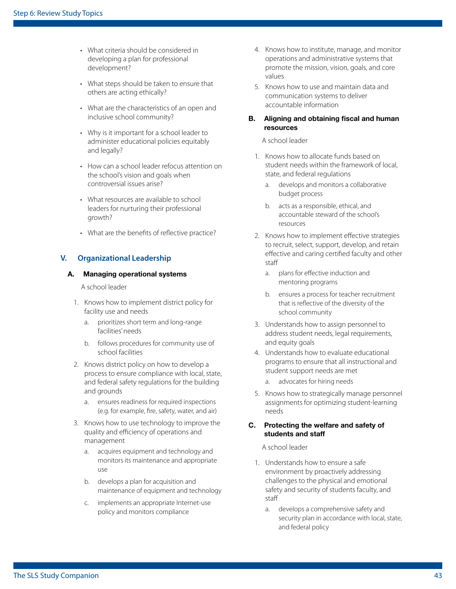- What criteria should be considered in developing a plan for professional development?
- What steps should be taken to ensure that others are acting ethically?
- What are the characteristics of an open and inclusive school community?
- Why is it important for a school leader to administer educational policies equitably and legally?
- How can a school leader refocus attention on the school's vision and goals when controversial issues arise?
- What resources are available to school leaders for nurturing their professional growth?
- What are the benefits of reflective practice?

#### **V. Organizational Leadership**

#### A. Managing operational systems

A school leader

- 1. Knows how to implement district policy for facility use and needs
	- a. prioritizes short term and long-range facilities' needs
	- b. follows procedures for community use of school facilities
- 2. Knows district policy on how to develop a process to ensure compliance with local, state, and federal safety regulations for the building and grounds
	- a. ensures readiness for required inspections (e.g. for example, fre, safety, water, and air)
- 3. Knows how to use technology to improve the quality and efficiency of operations and management
	- a. acquires equipment and technology and monitors its maintenance and appropriate use
	- b. develops a plan for acquisition and maintenance of equipment and technology
	- c. implements an appropriate Internet-use policy and monitors compliance
- 4. Knows how to institute, manage, and monitor operations and administrative systems that promote the mission, vision, goals, and core values
- 5. Knows how to use and maintain data and communication systems to deliver accountable information

#### B. Aligning and obtaining fiscal and human resources

#### A school leader

- 1. Knows how to allocate funds based on student needs within the framework of local, state, and federal regulations
	- a. develops and monitors a collaborative budget process
	- b. acts as a responsible, ethical, and accountable steward of the school's resources
- 2. Knows how to implement efective strategies to recruit, select, support, develop, and retain efective and caring certifed faculty and other staf
	- a. plans for efective induction and mentoring programs
	- b. ensures a process for teacher recruitment that is refective of the diversity of the school community
- 3. Understands how to assign personnel to address student needs, legal requirements, and equity goals
- 4. Understands how to evaluate educational programs to ensure that all instructional and student support needs are met
	- a. advocates for hiring needs
- 5. Knows how to strategically manage personnel assignments for optimizing student-learning needs

#### C. Protecting the welfare and safety of students and staff

- 1. Understands how to ensure a safe environment by proactively addressing challenges to the physical and emotional safety and security of students faculty, and staf
	- a. develops a comprehensive safety and security plan in accordance with local, state, and federal policy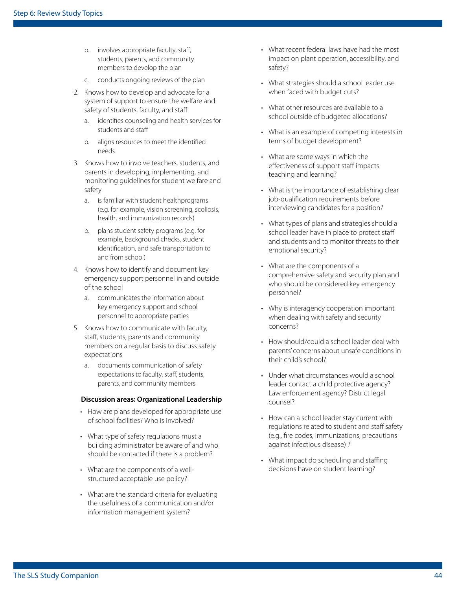- b. involves appropriate faculty, staff, students, parents, and community members to develop the plan
- c. conducts ongoing reviews of the plan
- 2. Knows how to develop and advocate for a system of support to ensure the welfare and safety of students, faculty, and staff
	- a. identifes counseling and health services for students and staf
	- b. aligns resources to meet the identifed needs
- 3. Knows how to involve teachers, students, and parents in developing, implementing, and monitoring guidelines for student welfare and safety
	- a. is familiar with student healthprograms (e.g. for example, vision screening, scoliosis, health, and immunization records)
	- b. plans student safety programs (e.g. for example, background checks, student identifcation, and safe transportation to and from school)
- 4. Knows how to identify and document key emergency support personnel in and outside of the school
	- a. communicates the information about key emergency support and school personnel to appropriate parties
- 5. Knows how to communicate with faculty, staff, students, parents and community members on a regular basis to discuss safety expectations
	- a. documents communication of safety expectations to faculty, staff, students, parents, and community members

#### **Discussion areas: Organizational Leadership**

- How are plans developed for appropriate use of school facilities? Who is involved?
- What type of safety regulations must a building administrator be aware of and who should be contacted if there is a problem?
- What are the components of a wellstructured acceptable use policy?
- What are the standard criteria for evaluating the usefulness of a communication and/or information management system?
- What recent federal laws have had the most impact on plant operation, accessibility, and safety?
- What strategies should a school leader use when faced with budget cuts?
- What other resources are available to a school outside of budgeted allocations?
- What is an example of competing interests in terms of budget development?
- What are some ways in which the effectiveness of support staff impacts teaching and learning?
- What is the importance of establishing clear job-qualifcation requirements before interviewing candidates for a position?
- What types of plans and strategies should a school leader have in place to protect staff and students and to monitor threats to their emotional security?
- What are the components of a comprehensive safety and security plan and who should be considered key emergency personnel?
- Why is interagency cooperation important when dealing with safety and security concerns?
- How should/could a school leader deal with parents' concerns about unsafe conditions in their child's school?
- Under what circumstances would a school leader contact a child protective agency? Law enforcement agency? District legal counsel?
- How can a school leader stay current with regulations related to student and staff safety (e.g., fre codes, immunizations, precautions against infectious disease) ?
- What impact do scheduling and staffing decisions have on student learning?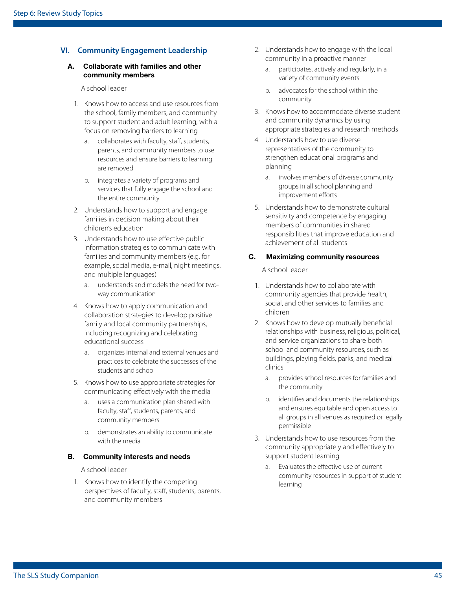#### **VI. Community Engagement Leadership**

#### A. Collaborate with families and other community members

A school leader

- 1. Knows how to access and use resources from the school, family members, and community to support student and adult learning, with a focus on removing barriers to learning
	- a. collaborates with faculty, staff, students, parents, and community members to use resources and ensure barriers to learning are removed
	- b. integrates a variety of programs and services that fully engage the school and the entire community
- 2. Understands how to support and engage families in decision making about their children's education
- 3. Understands how to use efective public information strategies to communicate with families and community members (e.g. for example, social media, e-mail, night meetings, and multiple languages)
	- a. understands and models the need for twoway communication
- 4. Knows how to apply communication and collaboration strategies to develop positive family and local community partnerships, including recognizing and celebrating educational success
	- a. organizes internal and external venues and practices to celebrate the successes of the students and school
- 5. Knows how to use appropriate strategies for communicating efectively with the media
	- a. uses a communication plan shared with faculty, staff, students, parents, and community members
	- b. demonstrates an ability to communicate with the media

#### B. Community interests and needs

A school leader

1. Knows how to identify the competing perspectives of faculty, staff, students, parents, and community members

- 2. Understands how to engage with the local community in a proactive manner
	- a. participates, actively and regularly, in a variety of community events
	- b. advocates for the school within the community
- 3. Knows how to accommodate diverse student and community dynamics by using appropriate strategies and research methods
- 4. Understands how to use diverse representatives of the community to strengthen educational programs and planning
	- a. involves members of diverse community groups in all school planning and improvement efforts
- 5. Understands how to demonstrate cultural sensitivity and competence by engaging members of communities in shared responsibilities that improve education and achievement of all students

#### C. Maximizing community resources

- 1. Understands how to collaborate with community agencies that provide health, social, and other services to families and children
- 2. Knows how to develop mutually benefcial relationships with business, religious, political, and service organizations to share both school and community resources, such as buildings, playing felds, parks, and medical clinics
	- a. provides school resources for families and the community
	- b. identifes and documents the relationships and ensures equitable and open access to all groups in all venues as required or legally permissible
- 3. Understands how to use resources from the community appropriately and efectively to support student learning
	- a. Evaluates the efective use of current community resources in support of student learning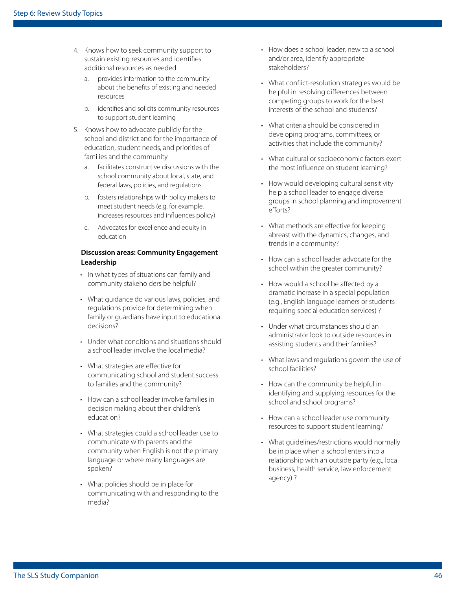- 4. Knows how to seek community support to sustain existing resources and identifes additional resources as needed
	- a. provides information to the community about the benefts of existing and needed resources
	- b. identifes and solicits community resources to support student learning
- 5. Knows how to advocate publicly for the school and district and for the importance of education, student needs, and priorities of families and the community
	- a. facilitates constructive discussions with the school community about local, state, and federal laws, policies, and regulations
	- b. fosters relationships with policy makers to meet student needs (e.g. for example, increases resources and infuences policy)
	- c. Advocates for excellence and equity in education

#### **Discussion areas: Community Engagement Leadership**

- In what types of situations can family and community stakeholders be helpful?
- What guidance do various laws, policies, and regulations provide for determining when family or guardians have input to educational decisions?
- Under what conditions and situations should a school leader involve the local media?
- What strategies are effective for communicating school and student success to families and the community?
- How can a school leader involve families in decision making about their children's education?
- What strategies could a school leader use to communicate with parents and the community when English is not the primary language or where many languages are spoken?
- What policies should be in place for communicating with and responding to the media?
- How does a school leader, new to a school and/or area, identify appropriate stakeholders?
- What confict-resolution strategies would be helpful in resolving diferences between competing groups to work for the best interests of the school and students?
- What criteria should be considered in developing programs, committees, or activities that include the community?
- What cultural or socioeconomic factors exert the most infuence on student learning?
- How would developing cultural sensitivity help a school leader to engage diverse groups in school planning and improvement efforts?
- What methods are effective for keeping abreast with the dynamics, changes, and trends in a community?
- How can a school leader advocate for the school within the greater community?
- How would a school be affected by a dramatic increase in a special population (e.g., English language learners or students requiring special education services) ?
- Under what circumstances should an administrator look to outside resources in assisting students and their families?
- What laws and regulations govern the use of school facilities?
- How can the community be helpful in identifying and supplying resources for the school and school programs?
- How can a school leader use community resources to support student learning?
- What guidelines/restrictions would normally be in place when a school enters into a relationship with an outside party (e.g., local business, health service, law enforcement agency) ?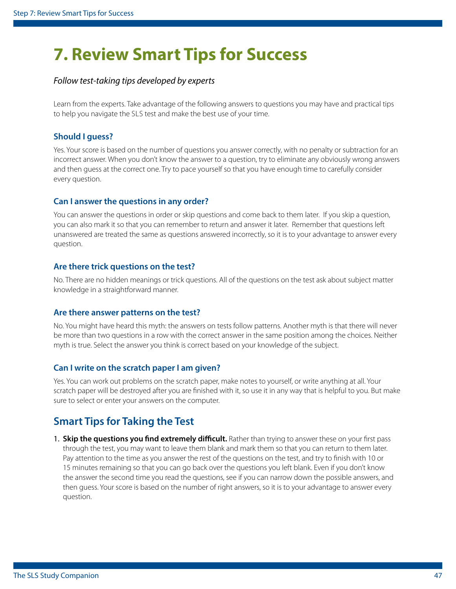## <span id="page-46-0"></span>**7. Review Smart Tips for Success**

#### *Follow test-taking tips developed by experts*

 to help you navigate the SLS test and make the best use of your time. Learn from the experts. Take advantage of the following answers to questions you may have and practical tips

#### **Should I guess?**

Yes. Your score is based on the number of questions you answer correctly, with no penalty or subtraction for an incorrect answer. When you don't know the answer to a question, try to eliminate any obviously wrong answers and then guess at the correct one. Try to pace yourself so that you have enough time to carefully consider every question.

#### **Can I answer the questions in any order?**

You can answer the questions in order or skip questions and come back to them later. If you skip a question, you can also mark it so that you can remember to return and answer it later. Remember that questions left unanswered are treated the same as questions answered incorrectly, so it is to your advantage to answer every question.

#### **Are there trick questions on the test?**

No. There are no hidden meanings or trick questions. All of the questions on the test ask about subject matter knowledge in a straightforward manner.

#### **Are there answer patterns on the test?**

No. You might have heard this myth: the answers on tests follow patterns. Another myth is that there will never be more than two questions in a row with the correct answer in the same position among the choices. Neither myth is true. Select the answer you think is correct based on your knowledge of the subject.

#### **Can I write on the scratch paper I am given?**

Yes. You can work out problems on the scratch paper, make notes to yourself, or write anything at all. Your scratch paper will be destroyed after you are fnished with it, so use it in any way that is helpful to you. But make sure to select or enter your answers on the computer.

### **Smart Tips for Taking the Test**

1. **Skip the questions you find extremely difficult.** Rather than trying to answer these on your first pass through the test, you may want to leave them blank and mark them so that you can return to them later. Pay attention to the time as you answer the rest of the questions on the test, and try to fnish with 10 or 15 minutes remaining so that you can go back over the questions you left blank. Even if you don't know the answer the second time you read the questions, see if you can narrow down the possible answers, and then guess. Your score is based on the number of right answers, so it is to your advantage to answer every question.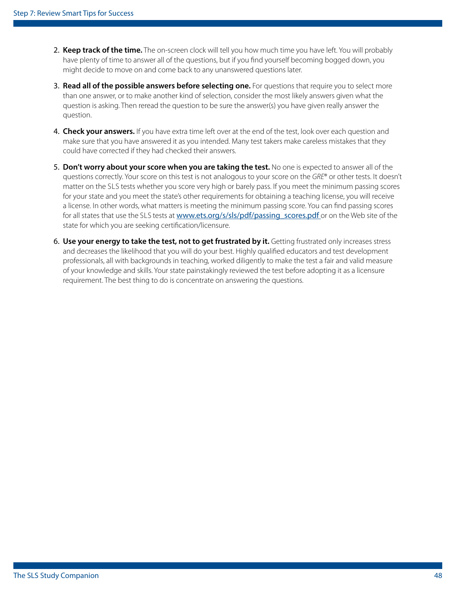- 2. **Keep track of the time.** The on-screen clock will tell you how much time you have left. You will probably have plenty of time to answer all of the questions, but if you fnd yourself becoming bogged down, you might decide to move on and come back to any unanswered questions later.
- 3. **Read all of the possible answers before selecting one.** For questions that require you to select more than one answer, or to make another kind of selection, consider the most likely answers given what the question is asking. Then reread the question to be sure the answer(s) you have given really answer the question.
- 4. **Check your answers.** If you have extra time left over at the end of the test, look over each question and make sure that you have answered it as you intended. Many test takers make careless mistakes that they could have corrected if they had checked their answers.
- matter on the SLS tests whether you score very high or barely pass. If you meet the minimum passing scores for all states that use the SLS tests at [www.ets.org/s/sls/pdf/passing\\_scores.pdf](https://www.ets.org/s/sls/pdf/passing_scores.pdf) or on the Web site of the 5. **Don't worry about your score when you are taking the test.** No one is expected to answer all of the questions correctly. Your score on this test is not analogous to your score on the *GRE*® or other tests. It doesn't for your state and you meet the state's other requirements for obtaining a teaching license, you will receive a license. In other words, what matters is meeting the minimum passing score. You can fnd passing scores state for which you are seeking certifcation/licensure.
- 6. **Use your energy to take the test, not to get frustrated by it.** Getting frustrated only increases stress and decreases the likelihood that you will do your best. Highly qualifed educators and test development professionals, all with backgrounds in teaching, worked diligently to make the test a fair and valid measure of your knowledge and skills. Your state painstakingly reviewed the test before adopting it as a licensure requirement. The best thing to do is concentrate on answering the questions.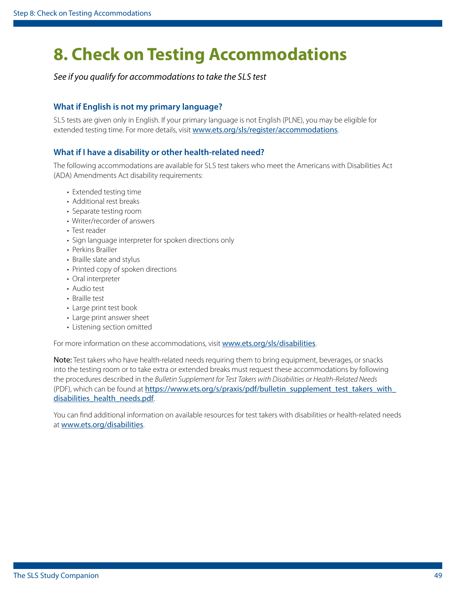## <span id="page-48-1"></span><span id="page-48-0"></span>**8. Check on Testing Accommodations**

*See if you qualify for accommodations to take the SLS test* 

#### **What if English is not my primary language?**

 SLS tests are given only in English. If your primary language is not English (PLNE), you may be eligible for extended testing time. For more details, visit [www.ets.org/sls/register/accommodations](https://www.ets.org/sls/register/accommodations/).

#### **What if I have a disability or other health-related need?**

 The following accommodations are available for SLS test takers who meet the Americans with Disabilities Act (ADA) Amendments Act disability requirements:

- Extended testing time
- Additional rest breaks
- Separate testing room
- Writer/recorder of answers
- Test reader
- Sign language interpreter for spoken directions only
- Perkins Brailler
- Braille slate and stylus
- Printed copy of spoken directions
- Oral interpreter
- Audio test
- Braille test
- Large print test book
- Large print answer sheet
- Listening section omitted

For more information on these accommodations, visit [www.ets.org/sls/disabilities](https://www.ets.org/sls/disabilities/).

Note: Test takers who have health-related needs requiring them to bring equipment, beverages, or snacks into the testing room or to take extra or extended breaks must request these accommodations by following the procedures described in the *Bulletin Supplement for Test Takers with Disabilities or Health-Related Needs*  (PDF), which can be found at [https://www.ets.org/s/praxis/pdf/bulletin\\_supplement\\_test\\_takers\\_with\\_](https://www.ets.org/s/praxis/pdf/bulletin_supplement_test_takers_with_disabilities_health_needs.pdf) [disabilities\\_health\\_needs.pdf](https://www.ets.org/s/praxis/pdf/bulletin_supplement_test_takers_with_disabilities_health_needs.pdf).

You can fnd additional information on available resources for test takers with disabilities or health-related needs at <www.ets.org/disabilities>.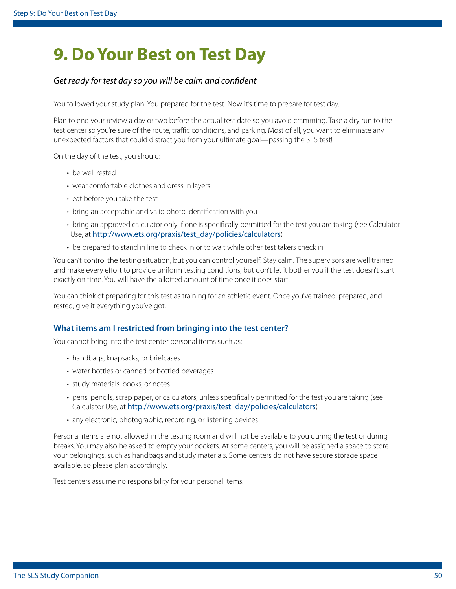## <span id="page-49-0"></span>**9. Do Your Best on Test Day**

#### *Get ready for test day so you will be calm and confdent*

You followed your study plan. You prepared for the test. Now it's time to prepare for test day.

 unexpected factors that could distract you from your ultimate goal—passing the SLS test! Plan to end your review a day or two before the actual test date so you avoid cramming. Take a dry run to the test center so you're sure of the route, traffic conditions, and parking. Most of all, you want to eliminate any

On the day of the test, you should:

- be well rested
- wear comfortable clothes and dress in layers
- eat before you take the test
- bring an acceptable and valid photo identifcation with you
- bring an approved calculator only if one is specifcally permitted for the test you are taking (see Calculator Use, at [http://www.ets.org/praxis/test\\_day/policies/calculators](http://www.ets.org/praxis/test_day/policies/calculators))
- be prepared to stand in line to check in or to wait while other test takers check in

You can't control the testing situation, but you can control yourself. Stay calm. The supervisors are well trained and make every efort to provide uniform testing conditions, but don't let it bother you if the test doesn't start exactly on time. You will have the allotted amount of time once it does start.

You can think of preparing for this test as training for an athletic event. Once you've trained, prepared, and rested, give it everything you've got.

#### **What items am I restricted from bringing into the test center?**

You cannot bring into the test center personal items such as:

- handbags, knapsacks, or briefcases
- water bottles or canned or bottled beverages
- study materials, books, or notes
- pens, pencils, scrap paper, or calculators, unless specifcally permitted for the test you are taking (see Calculator Use, at [http://www.ets.org/praxis/test\\_day/policies/calculators](http://www.ets.org/praxis/test_day/policies/calculators))
- any electronic, photographic, recording, or listening devices

Personal items are not allowed in the testing room and will not be available to you during the test or during breaks. You may also be asked to empty your pockets. At some centers, you will be assigned a space to store your belongings, such as handbags and study materials. Some centers do not have secure storage space available, so please plan accordingly.

Test centers assume no responsibility for your personal items.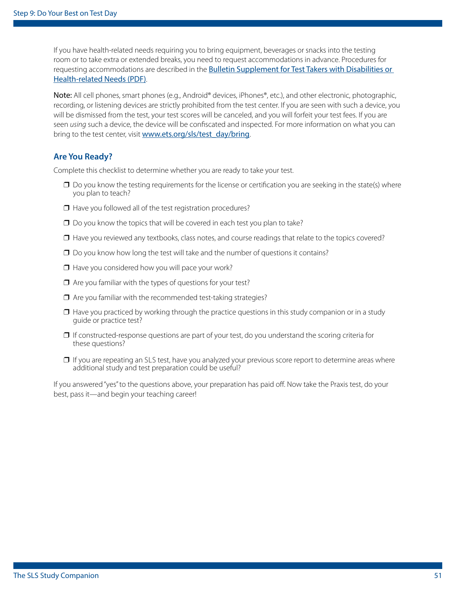If you have health-related needs requiring you to bring equipment, beverages or snacks into the testing room or to take extra or extended breaks, you need to request accommodations in advance. Procedures for requesting accommodations are described in the **Bulletin Supplement for Test Takers with Disabilities or** [Health-related Needs \(PDF\)](https://www.ets.org/s/praxis/pdf/bulletin_supplement_test_takers_with_disabilities_health_needs.pdf. ).

Note: All cell phones, smart phones (e.g., Android® devices, iPhones®, etc.), and other electronic, photographic, recording, or listening devices are strictly prohibited from the test center. If you are seen with such a device, you will be dismissed from the test, your test scores will be canceled, and you will forfeit your test fees. If you are seen *using* such a device, the device will be confscated and inspected. For more information on what you can bring to the test center, visit [www.ets.org/sls/test\\_day/bring](http://www.ets.org/sls/test_day/bring).

#### **Are You Ready?**

Complete this checklist to determine whether you are ready to take your test.

- $\Box$  Do you know the testing requirements for the license or certification you are seeking in the state(s) where you plan to teach?
- □ Have you followed all of the test registration procedures?
- $\Box$  Do you know the topics that will be covered in each test you plan to take?
- $\Box$  Have you reviewed any textbooks, class notes, and course readings that relate to the topics covered?
- $\Box$  Do you know how long the test will take and the number of questions it contains?
- ❒ Have you considered how you will pace your work?
- $\Box$  Are you familiar with the types of questions for your test?
- $\Box$  Are you familiar with the recommended test-taking strategies?
- $\Box$  Have you practiced by working through the practice questions in this study companion or in a study guide or practice test?
- $\Box$  If constructed-response questions are part of your test, do you understand the scoring criteria for these questions?
- $\Box$  If you are repeating an SLS test, have you analyzed your previous score report to determine areas where additional study and test preparation could be useful?

If you answered "yes" to the questions above, your preparation has paid off. Now take the Praxis test, do your best, pass it—and begin your teaching career!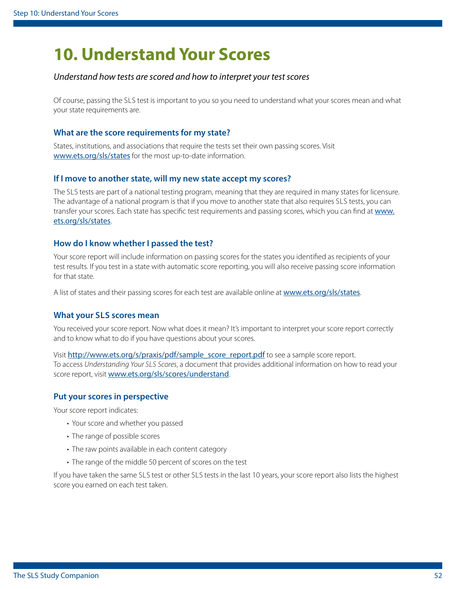## <span id="page-51-1"></span><span id="page-51-0"></span>**10. Understand Your Scores**

#### *Understand how tests are scored and how to interpret your test scores*

 Of course, passing the SLS test is important to you so you need to understand what your scores mean and what your state requirements are.

#### **What are the score requirements for my state?**

States, institutions, and associations that require the tests set their own passing scores. Visit [www.ets.org/sls/states](http://www.ets.org/sls/states) for the most up-to-date information.

#### **If I move to another state, will my new state accept my scores?**

 The SLS tests are part of a national testing program, meaning that they are required in many states for licensure. The advantage of a national program is that if you move to another state that also requires SLS tests, you can transfer your scores. Each state has specific test requirements and passing scores, which you can find at www. [ets.org/sls/states](http://www.ets.org/sls/states).

#### **How do I know whether I passed the test?**

Your score report will include information on passing scores for the states you identifed as recipients of your test results. If you test in a state with automatic score reporting, you will also receive passing score information for that state.

A list of states and their passing scores for each test are available online at [www.ets.org/sls/states](http://www.ets.org/sls/states).

#### **What your SLS scores mean**

You received your score report. Now what does it mean? It's important to interpret your score report correctly and to know what to do if you have questions about your scores.

 To access *Understanding Your SLS Scores*, a document that provides additional information on how to read your Visit [http://www.ets.org/s/praxis/pdf/sample\\_score\\_report.pdf](http://www.ets.org/s/praxis/pdf/sample_score_report.pdf) to see a sample score report. score report, visit [www.ets.org/sls/scores/understand](https://www.ets.org/sls/scores/understand/).

#### **Put your scores in perspective**

Your score report indicates:

- Your score and whether you passed
- The range of possible scores
- The raw points available in each content category
- The range of the middle 50 percent of scores on the test

 If you have taken the same SLS test or other SLS tests in the last 10 years, your score report also lists the highest score you earned on each test taken.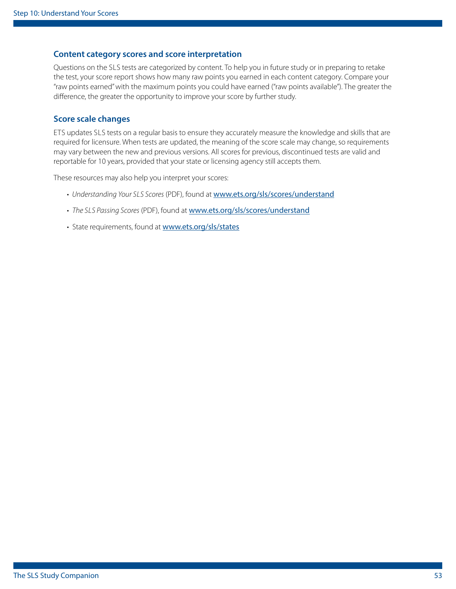#### **Content category scores and score interpretation**

 Questions on the SLS tests are categorized by content. To help you in future study or in preparing to retake the test, your score report shows how many raw points you earned in each content category. Compare your "raw points earned" with the maximum points you could have earned ("raw points available"). The greater the diference, the greater the opportunity to improve your score by further study.

#### **Score scale changes**

 ETS updates SLS tests on a regular basis to ensure they accurately measure the knowledge and skills that are required for licensure. When tests are updated, the meaning of the score scale may change, so requirements may vary between the new and previous versions. All scores for previous, discontinued tests are valid and reportable for 10 years, provided that your state or licensing agency still accepts them.

These resources may also help you interpret your scores:

- *Understanding Your SLS Scores* (PDF), found at [www.ets.org/sls/scores/understand](https://www.ets.org/sls/scores/understand/)
- *The SLS Passing Scores* (PDF), found at [www.ets.org/sls/scores/understand](http://www.ets.org/sls/scores/understand)
- State requirements, found at [www.ets.org/sls/states](http://www.ets.org/sls/states)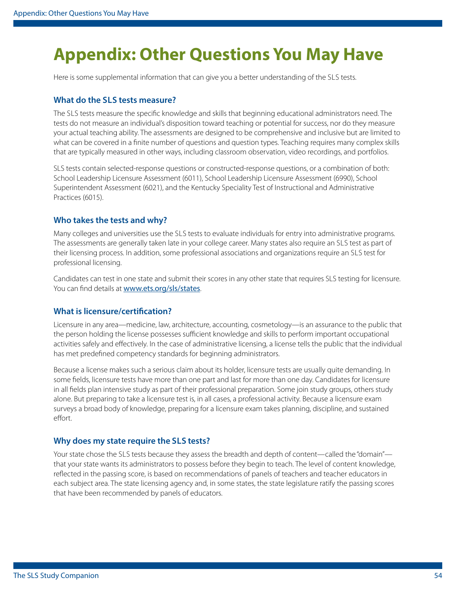## <span id="page-53-0"></span>**Appendix: Other Questions You May Have**

Here is some supplemental information that can give you a better understanding of the SLS tests.

#### **What do the SLS tests measure?**

 The SLS tests measure the specifc knowledge and skills that beginning educational administrators need. The tests do not measure an individual's disposition toward teaching or potential for success, nor do they measure your actual teaching ability. The assessments are designed to be comprehensive and inclusive but are limited to what can be covered in a fnite number of questions and question types. Teaching requires many complex skills that are typically measured in other ways, including classroom observation, video recordings, and portfolios.

SLS tests contain selected-response questions or constructed-response questions, or a combination of both: School Leadership Licensure Assessment (6011), School Leadership Licensure Assessment (6990), School Superintendent Assessment (6021), and the Kentucky Speciality Test of Instructional and Administrative Practices (6015).

#### **Who takes the tests and why?**

 Many colleges and universities use the SLS tests to evaluate individuals for entry into administrative programs. The assessments are generally taken late in your college career. Many states also require an SLS test as part of their licensing process. In addition, some professional associations and organizations require an SLS test for professional licensing.

Candidates can test in one state and submit their scores in any other state that requires SLS testing for licensure. You can find details at [www.ets.org/sls/states](http://www.ets.org/sls/states).

#### **What is licensure/certifcation?**

Licensure in any area—medicine, law, architecture, accounting, cosmetology—is an assurance to the public that the person holding the license possesses sufficient knowledge and skills to perform important occupational activities safely and efectively. In the case of administrative licensing, a license tells the public that the individual has met predefned competency standards for beginning administrators.

Because a license makes such a serious claim about its holder, licensure tests are usually quite demanding. In some felds, licensure tests have more than one part and last for more than one day. Candidates for licensure in all felds plan intensive study as part of their professional preparation. Some join study groups, others study alone. But preparing to take a licensure test is, in all cases, a professional activity. Because a licensure exam surveys a broad body of knowledge, preparing for a licensure exam takes planning, discipline, and sustained effort.

#### **Why does my state require the SLS tests?**

Your state chose the SLS tests because they assess the breadth and depth of content—called the "domain" that your state wants its administrators to possess before they begin to teach. The level of content knowledge, refected in the passing score, is based on recommendations of panels of teachers and teacher educators in each subject area. The state licensing agency and, in some states, the state legislature ratify the passing scores that have been recommended by panels of educators.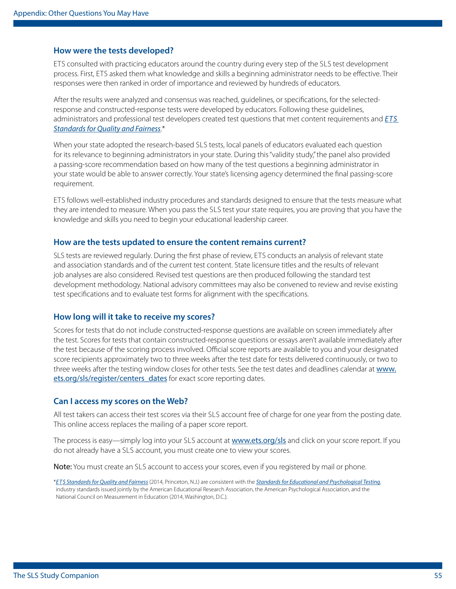#### **How were the tests developed?**

 ETS consulted with practicing educators around the country during every step of the SLS test development process. First, ETS asked them what knowledge and skills a beginning administrator needs to be efective. Their responses were then ranked in order of importance and reviewed by hundreds of educators.

 administrators and professional test developers created test questions that met content requirements and *[ETS](https://www.ets.org/s/about/pdf/standards.pdf)*  After the results were analyzed and consensus was reached, guidelines, or specifcations, for the selectedresponse and constructed-response tests were developed by educators. Following these guidelines, *[Standards for Quality and Fairness](https://www.ets.org/s/about/pdf/standards.pdf)*.\*

 When your state adopted the research-based SLS tests, local panels of educators evaluated each question for its relevance to beginning administrators in your state. During this "validity study," the panel also provided a passing-score recommendation based on how many of the test questions a beginning administrator in your state would be able to answer correctly. Your state's licensing agency determined the fnal passing-score requirement.

 ETS follows well-established industry procedures and standards designed to ensure that the tests measure what they are intended to measure. When you pass the SLS test your state requires, you are proving that you have the knowledge and skills you need to begin your educational leadership career.

#### **How are the tests updated to ensure the content remains current?**

 SLS tests are reviewed regularly. During the frst phase of review, ETS conducts an analysis of relevant state and association standards and of the current test content. State licensure titles and the results of relevant job analyses are also considered. Revised test questions are then produced following the standard test development methodology. National advisory committees may also be convened to review and revise existing test specifcations and to evaluate test forms for alignment with the specifcations.

#### **How long will it take to receive my scores?**

Scores for tests that do not include constructed-response questions are available on screen immediately after the test. Scores for tests that contain constructed-response questions or essays aren't available immediately after the test because of the scoring process involved. Official score reports are available to you and your designated score recipients approximately two to three weeks after the test date for tests delivered continuously, or two to three weeks after the testing window closes for other tests. See the test dates and deadlines calendar at [www.](http://www.ets.org/sls/register/centers_dates) [ets.org/sls/register/centers\\_dates](http://www.ets.org/sls/register/centers_dates) for exact score reporting dates.

#### **Can I access my scores on the Web?**

 All test takers can access their test scores via their SLS account free of charge for one year from the posting date. This online access replaces the mailing of a paper score report.

The process is easy—simply log into your SLS account at [www.ets.org/sls](http://www.ets.org/sls) and click on your score report. If you do not already have a SLS account, you must create one to view your scores.

Note: You must create an SLS account to access your scores, even if you registered by mail or phone.

 \**[E T S Standards for Quality and Fairness](https://www.ets.org/s/about/pdf/standards.pdf)* (2014, Princeton, N.J.) are consistent with the *[Standards for Educational and Psychological Testing](http://www.apa.org/science/programs/testing/standards.aspx)*, industry standards issued jointly by the American Educational Research Association, the American Psychological Association, and the National Council on Measurement in Education (2014, Washington, D.C.).